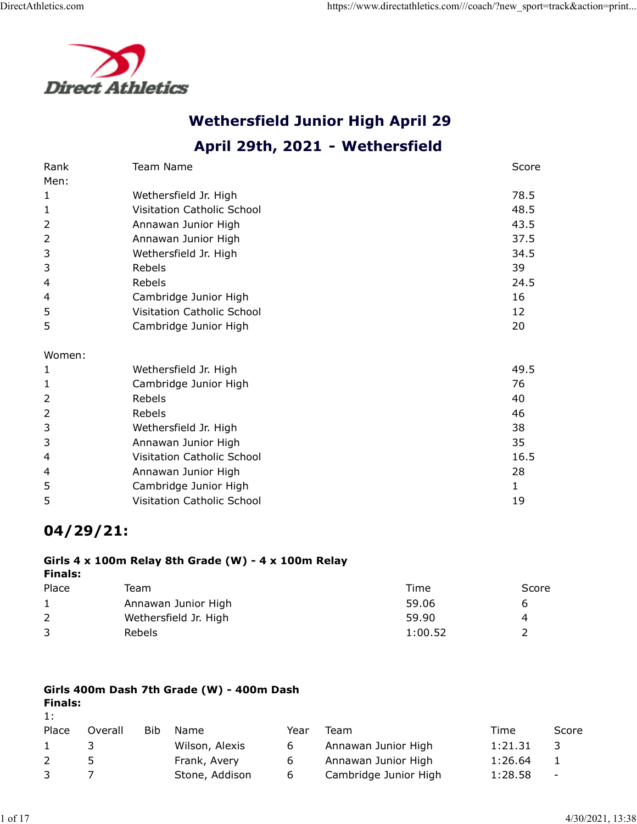

# Wethersfield Junior High April 29

|                | <b>Direct Athletics</b>                             |         |              |
|----------------|-----------------------------------------------------|---------|--------------|
|                |                                                     |         |              |
|                | <b>Wethersfield Junior High April 29</b>            |         |              |
|                | April 29th, 2021 - Wethersfield                     |         |              |
| Rank           | Team Name                                           |         | Score        |
| Men:           |                                                     |         |              |
| $\mathbf{1}$   | Wethersfield Jr. High                               |         | 78.5         |
| 1              | Visitation Catholic School                          |         | 48.5         |
| 2              | Annawan Junior High                                 |         | 43.5         |
| 2<br>3         | Annawan Junior High<br>Wethersfield Jr. High        |         | 37.5<br>34.5 |
| 3              | Rebels                                              |         | 39           |
| 4              | Rebels                                              |         | 24.5         |
| 4              | Cambridge Junior High                               |         | 16           |
| 5              | Visitation Catholic School                          |         | 12           |
| 5              | Cambridge Junior High                               |         | 20           |
| Women:         |                                                     |         |              |
| $\mathbf{1}$   | Wethersfield Jr. High                               |         | 49.5         |
| $\mathbf{1}$   | Cambridge Junior High                               |         | 76           |
| $\overline{2}$ | Rebels                                              |         | 40           |
| $\overline{2}$ | Rebels                                              |         | 46           |
| 3              | Wethersfield Jr. High                               |         | 38           |
| 3              | Annawan Junior High                                 |         | 35           |
| 4              | Visitation Catholic School                          |         | 16.5         |
| 4              | Annawan Junior High                                 |         | 28           |
| 5              | Cambridge Junior High                               |         | $\mathbf{1}$ |
| 5              | Visitation Catholic School                          |         | 19           |
| $04/29/21$ :   |                                                     |         |              |
| <b>Finals:</b> | Girls 4 x 100m Relay 8th Grade (W) - 4 x 100m Relay |         |              |
| Place          | Team                                                | Time    | Score        |
| 1              | Annawan Junior High                                 | 59.06   | 6            |
| $\overline{2}$ | Wethersfield Jr. High                               | 59.90   | 4            |
| 3              | Rebels                                              | 1:00.52 | 2            |

# 04/29/21:

#### Girls 4 x 100m Relay 8th Grade (W) - 4 x 100m Relay Finals:

| 4              |                |        | Visitation Catholic School                          |      |                       | 16.5           |                  |  |
|----------------|----------------|--------|-----------------------------------------------------|------|-----------------------|----------------|------------------|--|
| 4              |                |        | Annawan Junior High                                 |      |                       | 28             |                  |  |
| 5              |                |        | Cambridge Junior High                               |      |                       |                |                  |  |
| 5              |                |        | Visitation Catholic School                          |      |                       | 19             |                  |  |
|                | $04/29/21$ :   |        |                                                     |      |                       |                |                  |  |
| <b>Finals:</b> |                |        | Girls 4 x 100m Relay 8th Grade (W) - 4 x 100m Relay |      |                       |                |                  |  |
| Place          |                | Team   |                                                     |      | Time                  | Score          |                  |  |
| 1              |                |        | Annawan Junior High                                 |      | 59.06                 | 6              |                  |  |
| $\overline{2}$ |                |        | Wethersfield Jr. High                               |      | 59.90                 | $\overline{4}$ |                  |  |
| 3              |                | Rebels |                                                     |      | 1:00.52               | $\overline{2}$ |                  |  |
| <b>Finals:</b> |                |        | Girls 400m Dash 7th Grade (W) - 400m Dash           |      |                       |                |                  |  |
| 1:<br>Place    | Overall        | Bib    | Name                                                | Year | Team                  | Time           | Score            |  |
| $\mathbf{1}$   | 3              |        | Wilson, Alexis                                      | 6    | Annawan Junior High   | 1:21.31        | 3                |  |
| $\overline{2}$ | 5              |        | Frank, Avery                                        | 6    | Annawan Junior High   | 1:26.64        | $\mathbf{1}$     |  |
| 3              | $\overline{7}$ |        | Stone, Addison                                      | 6    | Cambridge Junior High | 1:28.58        |                  |  |
|                |                |        |                                                     |      |                       |                |                  |  |
|                |                |        |                                                     |      |                       |                | 4/30/2021, 13:38 |  |
|                |                |        |                                                     |      |                       |                |                  |  |

## Girls 400m Dash 7th Grade (W) - 400m Dash Finals:

## 1:

| Place        | Overall       | <b>Bib</b> | Name           | Year | Team                  | Time    | Score      |
|--------------|---------------|------------|----------------|------|-----------------------|---------|------------|
| $\mathbf{1}$ |               |            | Wilson, Alexis | 6    | Annawan Junior High   | 1:21.31 |            |
| <sup>2</sup> | $\mathcal{F}$ |            | Frank, Avery   | 6    | Annawan Junior High   | 1:26.64 |            |
| $\mathbf{3}$ |               |            | Stone, Addison | 6    | Cambridge Junior High | 1:28.58 | $\sim$ $-$ |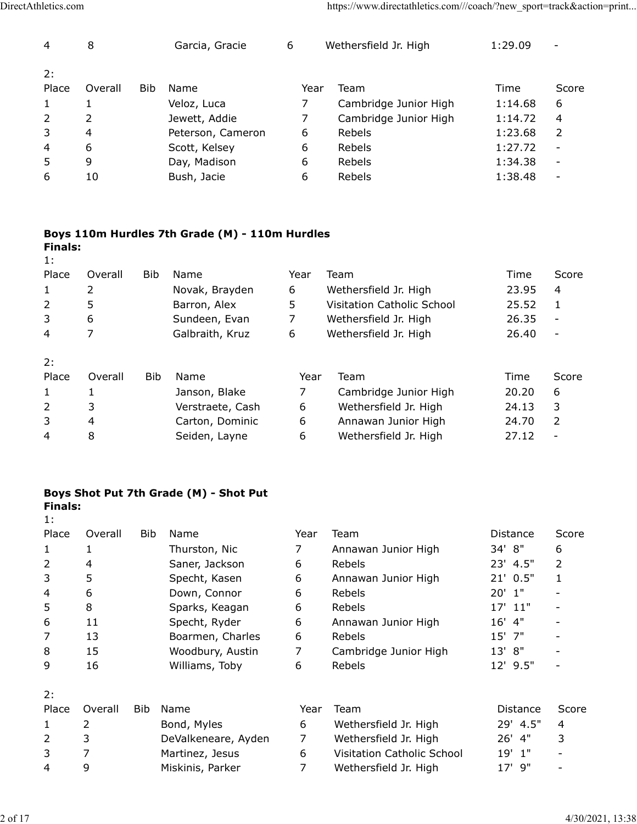| DirectAthletics.com |                |     |                                                |                | https://www.directathletics.com///coach/?new_sport=track&action=print |         |                          |
|---------------------|----------------|-----|------------------------------------------------|----------------|-----------------------------------------------------------------------|---------|--------------------------|
|                     |                |     |                                                |                |                                                                       |         |                          |
| 4                   | 8              |     | Garcia, Gracie                                 | 6              | Wethersfield Jr. High                                                 | 1:29.09 | $\overline{\phantom{a}}$ |
| 2:                  |                |     |                                                |                |                                                                       |         |                          |
| Place               | Overall        | Bib | Name                                           | Year           | Team                                                                  | Time    | Score                    |
| $\mathbf{1}$        | $\mathbf{1}$   |     | Veloz, Luca                                    | 7 <sup>7</sup> | Cambridge Junior High                                                 | 1:14.68 | 6                        |
| $\overline{2}$      | $\overline{2}$ |     | Jewett, Addie                                  | 7              | Cambridge Junior High                                                 | 1:14.72 | 4                        |
| $\mathsf{3}$        | $\overline{4}$ |     | Peterson, Cameron                              | 6              | Rebels                                                                | 1:23.68 | $\overline{2}$           |
| $\overline{4}$      | 6              |     | Scott, Kelsey                                  | 6              | Rebels                                                                | 1:27.72 | $\overline{\phantom{a}}$ |
| 5                   | 9              |     | Day, Madison                                   | 6              | Rebels                                                                | 1:34.38 | $\overline{\phantom{a}}$ |
| 6                   | 10             |     | Bush, Jacie                                    | 6              | Rebels                                                                | 1:38.48 | $\overline{\phantom{a}}$ |
|                     |                |     |                                                |                |                                                                       |         |                          |
|                     |                |     | Boys 110m Hurdles 7th Grade (M) - 110m Hurdles |                |                                                                       |         |                          |
| <b>Finals:</b>      |                |     |                                                |                |                                                                       |         |                          |
| 1:                  |                |     |                                                |                |                                                                       |         |                          |
| Place               | Overall        | Bib | Name                                           | Year           | Team                                                                  | Time    | Score                    |
|                     | $\overline{2}$ |     | Novak, Brayden                                 | 6              | Wethersfield Jr. High                                                 | 23.95   | 4                        |
| $\mathbf{1}$        |                |     | Barron, Alex                                   | 5              | Visitation Catholic School                                            | 25.52   | $\mathbf{1}$             |
| $\overline{2}$      | 5              |     | Sundeen, Evan                                  | $\overline{7}$ | Wethersfield Jr. High                                                 | 26.35   | $\blacksquare$           |
| $\mathsf{3}$        | 6              |     | Galbraith, Kruz                                | 6              | Wethersfield Jr. High                                                 | 26.40   | $\overline{\phantom{a}}$ |
| $\overline{4}$      | $\overline{7}$ |     |                                                |                |                                                                       |         |                          |
| 2:                  |                |     |                                                |                |                                                                       |         |                          |

#### Boys 110m Hurdles 7th Grade (M) - 110m Hurdles Finals:

| 2:                   |                |            |                                                |                |                            |          |                          |
|----------------------|----------------|------------|------------------------------------------------|----------------|----------------------------|----------|--------------------------|
| Place                | Overall        | Bib        | Name                                           | Year           | Team                       | Time     | Score                    |
| $\mathbf{1}$         | $\mathbf{1}$   |            | Veloz, Luca                                    | 7              | Cambridge Junior High      | 1:14.68  | 6                        |
| $\overline{2}$       | 2              |            | Jewett, Addie                                  | 7              | Cambridge Junior High      | 1:14.72  | 4                        |
| 3                    | $\overline{4}$ |            | Peterson, Cameron                              | 6              | Rebels                     | 1:23.68  | $\overline{2}$           |
| 4                    | 6              |            | Scott, Kelsey                                  | 6              | Rebels                     | 1:27.72  | $\overline{\phantom{a}}$ |
| 5                    | 9              |            | Day, Madison                                   | 6              | Rebels                     | 1:34.38  | $\overline{\phantom{a}}$ |
| 6                    | 10             |            | Bush, Jacie                                    | 6              | Rebels                     | 1:38.48  | $\overline{\phantom{0}}$ |
| <b>Finals:</b><br>1: |                |            | Boys 110m Hurdles 7th Grade (M) - 110m Hurdles |                |                            |          |                          |
| Place                | Overall        | Bib        | Name                                           | Year           | Team                       | Time     | Score                    |
| $\mathbf{1}$         | $\overline{2}$ |            | Novak, Brayden                                 | 6              | Wethersfield Jr. High      | 23.95    | 4                        |
| $\overline{2}$       | 5              |            | Barron, Alex                                   | 5              | Visitation Catholic School | 25.52    | 1                        |
| 3                    | 6              |            | Sundeen, Evan                                  | 7              | Wethersfield Jr. High      | 26.35    | $\overline{\phantom{a}}$ |
| 4                    | $\overline{7}$ |            | Galbraith, Kruz                                | 6              | Wethersfield Jr. High      | 26.40    | $\overline{\phantom{a}}$ |
| 2:                   |                |            |                                                |                |                            |          |                          |
| Place                | Overall        | <b>Bib</b> | Name                                           | Year           | Team                       | Time     | Score                    |
| 1                    | $\mathbf{1}$   |            | Janson, Blake                                  | $\overline{7}$ | Cambridge Junior High      | 20.20    | 6                        |
| $\overline{2}$       | 3              |            | Verstraete, Cash                               | 6              | Wethersfield Jr. High      | 24.13    | 3                        |
| 3                    | 4              |            | Carton, Dominic                                | 6              | Annawan Junior High        | 24.70    | $\overline{2}$           |
| 4                    | $\,8\,$        |            | Seiden, Layne                                  | 6              | Wethersfield Jr. High      | 27.12    | $\overline{\phantom{a}}$ |
| <b>Finals:</b><br>1: |                |            | Boys Shot Put 7th Grade (M) - Shot Put         |                |                            |          |                          |
| Place                | Overall        | Bib        | Name                                           | Year           | Team                       | Distance | Score                    |
| 1                    | 1              |            | Thurston, Nic                                  | 7              | Annawan Junior High        | 34' 8"   | 6                        |
| $\overline{2}$       | 4              |            | Saner, Jackson                                 | 6              | Rebels                     | 23' 4.5" | 2                        |
| 3                    | 5              |            | Specht, Kasen                                  | 6              | Annawan Junior High        | 21' 0.5" | 1                        |
| 4                    | 6              |            | Down, Connor                                   | 6              | Rebels                     | $20'$ 1" |                          |
| 5                    | 8              |            | Sparks, Keagan                                 | 6              | Rebels                     | 17' 11"  |                          |
| 6                    | 11             |            | Specht, Ryder                                  | 6              | Annawan Junior High        | $16'$ 4" |                          |
|                      | 13             |            | Boarmen, Charles                               | 6              | Rebels                     | 15' 7"   |                          |

## Boys Shot Put 7th Grade (M) - Shot Put Finals:

| 3              | 6                |            | Sundeen, Evan                          | 7              | Wethersfield Jr. High      | 26.35           | $\overline{\phantom{a}}$ |
|----------------|------------------|------------|----------------------------------------|----------------|----------------------------|-----------------|--------------------------|
| 4              | 7                |            | Galbraith, Kruz                        | 6              | Wethersfield Jr. High      | 26.40           |                          |
| 2:             |                  |            |                                        |                |                            |                 |                          |
| Place          | Overall          | Bib        | Name                                   | Year           | Team                       | Time            | Score                    |
| $\mathbf{1}$   | $\mathbf{1}$     |            | Janson, Blake                          | 7              | Cambridge Junior High      | 20.20           | 6                        |
| $\overline{2}$ | 3                |            | Verstraete, Cash                       | 6              | Wethersfield Jr. High      | 24.13           | 3                        |
| 3              | 4                |            | Carton, Dominic                        | 6              | Annawan Junior High        | 24.70           | $\overline{2}$           |
| $\overline{4}$ | 8                |            | Seiden, Layne                          | 6              | Wethersfield Jr. High      | 27.12           | $\blacksquare$           |
|                |                  |            |                                        |                |                            |                 |                          |
|                |                  |            |                                        |                |                            |                 |                          |
|                |                  |            | Boys Shot Put 7th Grade (M) - Shot Put |                |                            |                 |                          |
| <b>Finals:</b> |                  |            |                                        |                |                            |                 |                          |
| 1:             |                  |            |                                        |                |                            |                 |                          |
| Place          | Overall          | <b>Bib</b> | Name                                   | Year           | Team                       | <b>Distance</b> | Score                    |
| $\mathbf{1}$   | $\mathbf{1}$     |            | Thurston, Nic                          | $\overline{7}$ | Annawan Junior High        | 34' 8"          | 6                        |
| $\overline{2}$ | 4                |            | Saner, Jackson                         | 6              | Rebels                     | 23' 4.5"        | 2                        |
| 3              | 5                |            | Specht, Kasen                          | 6              | Annawan Junior High        | 21' 0.5"        | $\mathbf{1}$             |
| $\overline{4}$ | $\boldsymbol{6}$ |            | Down, Connor                           | 6              | Rebels                     | $20'$ 1"        |                          |
| 5              | 8                |            | Sparks, Keagan                         | 6              | Rebels                     | 17' 11"         |                          |
| 6              | 11               |            | Specht, Ryder                          | 6              | Annawan Junior High        | 4"<br>16'       |                          |
| $\overline{7}$ | 13               |            | Boarmen, Charles                       | 6              | Rebels                     | 15'<br>7"       |                          |
| 8              | 15               |            | Woodbury, Austin                       | $\overline{7}$ | Cambridge Junior High      | 13' 8"          |                          |
| 9              | 16               |            | Williams, Toby                         | 6              | Rebels                     | 12' 9.5"        |                          |
| 2:             |                  |            |                                        |                |                            |                 |                          |
| Place          | Overall          | <b>Bib</b> | Name                                   | Year           | Team                       | Distance        | Score                    |
| $\mathbf{1}$   | $\overline{2}$   |            | Bond, Myles                            | 6              | Wethersfield Jr. High      | 29' 4.5"        | 4                        |
| $\overline{2}$ | 3                |            | DeValkeneare, Ayden                    | $\overline{7}$ | Wethersfield Jr. High      | 26' 4"          | 3                        |
| $\mathsf 3$    | $\overline{7}$   |            | Martinez, Jesus                        | 6              | Visitation Catholic School | $19'$ $1"$      |                          |
| $\overline{4}$ | 9                |            | Miskinis, Parker                       | $\overline{7}$ | Wethersfield Jr. High      | 17' 9"          | $\overline{\phantom{a}}$ |
|                |                  |            |                                        |                |                            |                 |                          |
|                |                  |            |                                        |                |                            |                 |                          |
|                |                  |            |                                        |                |                            |                 | 4/30/2021, 13:38         |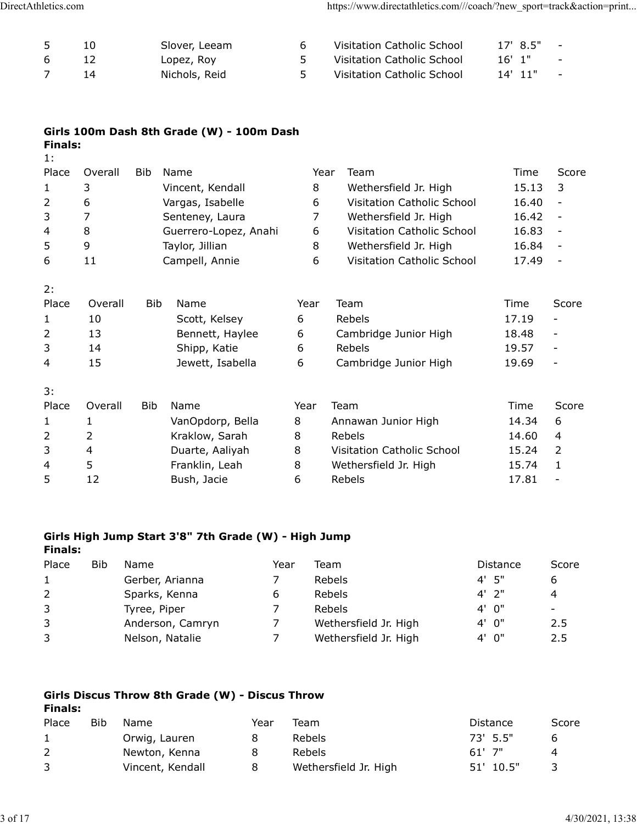| DirectAthletics.com |    |                             |                | https://www.directathletics.com///coach/?new_sport=track&action=print |                                                  |  |
|---------------------|----|-----------------------------|----------------|-----------------------------------------------------------------------|--------------------------------------------------|--|
| 5                   | 10 |                             | 6              |                                                                       | $\sim$ $-$                                       |  |
| $\,$ 6 $\,$         | 12 | Slover, Leeam               | 5 <sup>1</sup> | Visitation Catholic School<br>Visitation Catholic School              | 17' 8.5"<br>$16'$ 1"<br>$\overline{\phantom{a}}$ |  |
| $\overline{7}$      | 14 | Lopez, Roy<br>Nichols, Reid | 5 <sup>1</sup> | Visitation Catholic School                                            | $14'$ $11''$<br>$\overline{\phantom{a}}$         |  |

| Girls 100m Dash 8th Grade (W) - 100m Dash |  |
|-------------------------------------------|--|
| Finals:                                   |  |

| letics.com     |                     |              |                                                      |                | https://www.directathletics.com///coach/?new_sport=track&action=print |                |                                                      |
|----------------|---------------------|--------------|------------------------------------------------------|----------------|-----------------------------------------------------------------------|----------------|------------------------------------------------------|
|                |                     |              |                                                      |                |                                                                       |                |                                                      |
| 5              | 10                  |              | Slover, Leeam                                        | 6              | Visitation Catholic School                                            | 17' 8.5"       | $\overline{\phantom{a}}$                             |
| 6              | 12                  |              | Lopez, Roy                                           | 5.             | Visitation Catholic School                                            | $16'$ 1"       | $\overline{\phantom{a}}$                             |
| $\overline{7}$ | 14                  |              | Nichols, Reid                                        | 5              | Visitation Catholic School                                            | 14' 11"        | $\overline{\phantom{a}}$                             |
| <b>Finals:</b> |                     |              | Girls 100m Dash 8th Grade (W) - 100m Dash            |                |                                                                       |                |                                                      |
| 1:             |                     |              |                                                      |                |                                                                       |                |                                                      |
| Place          | Overall             | Bib          | Name                                                 |                | Team<br>Year                                                          | Time           | Score                                                |
| $\mathbf{1}$   | 3                   |              | Vincent, Kendall                                     | 8              | Wethersfield Jr. High                                                 | 15.13          | 3                                                    |
| $\overline{2}$ | 6                   |              | Vargas, Isabelle                                     | 6              | Visitation Catholic School                                            | 16.40          | $\overline{\phantom{a}}$                             |
| 3              | $\overline{7}$      |              | Senteney, Laura                                      | $\overline{7}$ | Wethersfield Jr. High                                                 | 16.42          | $\overline{\phantom{a}}$                             |
| 4<br>5         | 8<br>9              |              | Guerrero-Lopez, Anahi                                | 6<br>8         | Visitation Catholic School                                            | 16.83          | $\overline{\phantom{a}}$<br>$\overline{\phantom{a}}$ |
| 6              | 11                  |              | Taylor, Jillian<br>Campell, Annie                    | 6              | Wethersfield Jr. High<br>Visitation Catholic School                   | 16.84<br>17.49 | $\overline{\phantom{a}}$                             |
|                |                     |              |                                                      |                |                                                                       |                |                                                      |
| 2:             |                     |              |                                                      |                |                                                                       |                |                                                      |
| Place          | Overall             | <b>Bib</b>   | Name                                                 | Year           | Team                                                                  | Time           | Score                                                |
| 1              | 10                  |              | Scott, Kelsey                                        | 6              | Rebels                                                                | 17.19          | $\overline{\phantom{a}}$                             |
| 2              | 13                  |              | Bennett, Haylee                                      | 6              | Cambridge Junior High                                                 | 18.48          | $\overline{\phantom{a}}$                             |
| 3              | 14                  |              | Shipp, Katie                                         | 6              | Rebels                                                                | 19.57          | $\overline{\phantom{a}}$                             |
| 4              | 15                  |              | Jewett, Isabella                                     | 6              | Cambridge Junior High                                                 | 19.69          |                                                      |
| 3:             |                     |              |                                                      |                |                                                                       |                |                                                      |
| Place          | Overall             | Bib          | Name                                                 | Year           | Team                                                                  | Time           | Score                                                |
| $\mathbf{1}$   | $\mathbf{1}$        |              | VanOpdorp, Bella                                     | 8              | Annawan Junior High                                                   | 14.34          | 6                                                    |
| 2              | $\overline{2}$      |              | Kraklow, Sarah                                       | 8              | Rebels                                                                | 14.60          | 4                                                    |
| $\mathsf{3}$   | $\overline{4}$<br>5 |              | Duarte, Aaliyah                                      | 8              | Visitation Catholic School                                            | 15.24<br>15.74 | $\overline{2}$                                       |
| 4<br>5         | 12                  |              | Franklin, Leah<br>Bush, Jacie                        | 8<br>6         | Wethersfield Jr. High<br>Rebels                                       | 17.81          | $\mathbf{1}$<br>$\overline{\phantom{a}}$             |
|                |                     |              | Girls High Jump Start 3'8" 7th Grade (W) - High Jump |                |                                                                       |                |                                                      |
| <b>Finals:</b> |                     |              |                                                      |                |                                                                       |                |                                                      |
| Place          | <b>Bib</b>          | Name         |                                                      | Year           | Team                                                                  | Distance       | Score                                                |
| $\mathbf{1}$   |                     |              | Gerber, Arianna<br>7                                 |                | Rebels                                                                | 4' 5"          | 6                                                    |
| $\overline{2}$ |                     |              | Sparks, Kenna<br>6                                   |                | Rebels                                                                | $4'$ 2"        | 4                                                    |
| 3              |                     | Tyree, Piper | 7                                                    |                | Rebels                                                                | 4' 0"          | $\sim$                                               |
| 3              |                     |              | Anderson, Camryn<br>7                                |                | Wethersfield Jr. High                                                 | 4' 0"          | 2.5                                                  |
| 3              |                     |              | $\overline{7}$<br>Nelson, Natalie                    |                | Wethersfield Jr. High                                                 | 4' 0"          | 2.5                                                  |

## Girls High Jump Start 3'8" 7th Grade (W) - High Jump Finals:

| 3              | 4          | Duarte, Aaliyah                                      |      | Visitation Catholic School<br>8 | 15.24           | $\overline{2}$           |
|----------------|------------|------------------------------------------------------|------|---------------------------------|-----------------|--------------------------|
| 4              | 5          | Franklin, Leah                                       |      | 8<br>Wethersfield Jr. High      | 15.74           | $\mathbf{1}$             |
| 5              | 12         | Bush, Jacie                                          |      | 6<br>Rebels                     | 17.81           | $\overline{\phantom{a}}$ |
| <b>Finals:</b> |            | Girls High Jump Start 3'8" 7th Grade (W) - High Jump |      |                                 |                 |                          |
| Place          | <b>Bib</b> | Name                                                 | Year | Team                            | <b>Distance</b> | Score                    |
| $\mathbf{1}$   |            | Gerber, Arianna                                      | 7    | Rebels                          | $4'$ 5"         | 6                        |
| $\overline{2}$ |            | Sparks, Kenna                                        | 6    | Rebels                          | $4'$ 2"         | 4                        |
| 3              |            | Tyree, Piper                                         | 7    | Rebels                          | 4' 0"           | $\overline{\phantom{0}}$ |
| 3              |            | Anderson, Camryn                                     | 7    | Wethersfield Jr. High           | 4' 0"           | 2.5                      |
| 3              |            | Nelson, Natalie                                      | 7    | Wethersfield Jr. High           | 4' 0"           | 2.5                      |
| <b>Finals:</b> |            | Girls Discus Throw 8th Grade (W) - Discus Throw      |      |                                 |                 |                          |
| Place          | <b>Bib</b> | Name                                                 | Year | Team                            | Distance        | Score                    |
| $\mathbf{1}$   |            | Orwig, Lauren                                        | 8    | Rebels                          | 73' 5.5"        | 6                        |
| $\overline{2}$ |            | Newton, Kenna                                        | 8    | Rebels                          | $61'$ 7"        | 4                        |
| 3              |            | Vincent, Kendall                                     | 8    | Wethersfield Jr. High           | 51' 10.5"       | 3                        |
|                |            |                                                      |      |                                 |                 |                          |
|                |            |                                                      |      |                                 |                 | 4/30/2021, 13:38         |
|                |            |                                                      |      |                                 |                 |                          |

## Girls Discus Throw 8th Grade (W) - Discus Throw Finals:

| Place | Bib | Name             | Year | Team                  | Distance  | Score |
|-------|-----|------------------|------|-----------------------|-----------|-------|
|       |     | Orwig, Lauren    |      | Rebels                | 73' 5.5"  | h     |
|       |     | Newton, Kenna    |      | Rebels                | $61'$ 7"  |       |
| 3     |     | Vincent, Kendall |      | Wethersfield Jr. High | 51' 10.5" |       |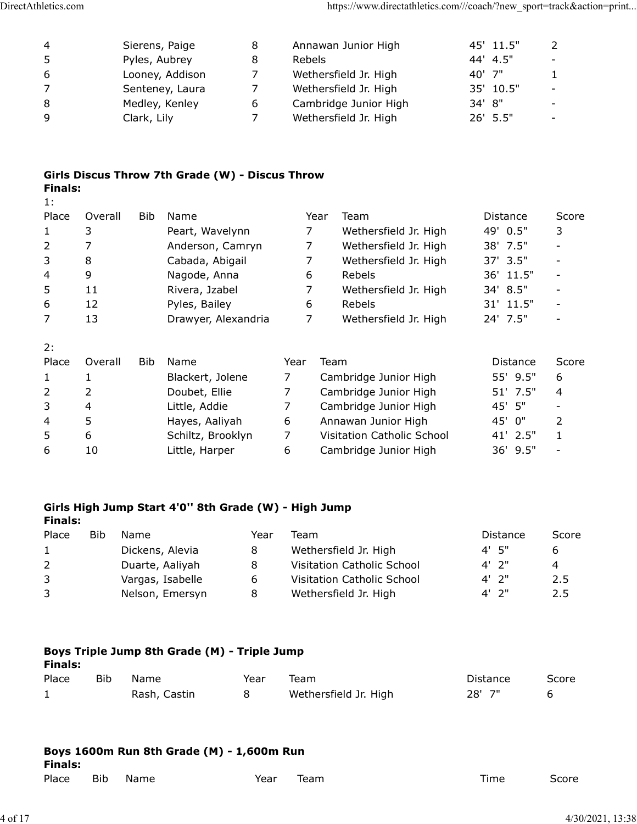| DirectAthletics.com |         |             |                                                 |                |        | https://www.directathletics.com///coach/?new_sport=track&action=print |                       |                                   |
|---------------------|---------|-------------|-------------------------------------------------|----------------|--------|-----------------------------------------------------------------------|-----------------------|-----------------------------------|
|                     |         |             |                                                 |                |        |                                                                       |                       |                                   |
|                     |         |             |                                                 |                |        |                                                                       |                       |                                   |
|                     |         |             |                                                 |                |        |                                                                       |                       |                                   |
| 4<br>5              |         |             | Sierens, Paige<br>Pyles, Aubrey                 | 8<br>8         | Rebels | Annawan Junior High                                                   | 45' 11.5"<br>44' 4.5" | 2<br>$\overline{\phantom{a}}$     |
| 6                   |         |             | Looney, Addison                                 | $\overline{7}$ |        | Wethersfield Jr. High                                                 | 40' 7"                | 1                                 |
| $\overline{7}$      |         |             | Senteney, Laura                                 | $\overline{7}$ |        | Wethersfield Jr. High                                                 | 35' 10.5"             | $\overline{\phantom{a}}$          |
| $\,8\,$             |         |             | Medley, Kenley                                  | 6              |        | Cambridge Junior High                                                 | 34' 8"                |                                   |
| 9                   |         | Clark, Lily |                                                 | $\overline{7}$ |        | Wethersfield Jr. High                                                 | 26' 5.5"              | $\overline{\phantom{a}}$          |
|                     |         |             |                                                 |                |        |                                                                       |                       |                                   |
|                     |         |             |                                                 |                |        |                                                                       |                       |                                   |
|                     |         |             | Girls Discus Throw 7th Grade (W) - Discus Throw |                |        |                                                                       |                       |                                   |
| <b>Finals:</b>      |         |             |                                                 |                |        |                                                                       |                       |                                   |
| 1:<br>Place         | Overall | Bib         |                                                 |                | Year   |                                                                       |                       |                                   |
| 1                   |         |             | Name                                            |                | 7      | Team                                                                  | Distance              | Score                             |
| $\overline{2}$      | 3<br>7  |             | Peart, Wavelynn                                 |                | 7      | Wethersfield Jr. High                                                 | 49' 0.5"              | 3<br>$\qquad \qquad \blacksquare$ |
| 3                   | 8       |             | Anderson, Camryn                                |                | 7      | Wethersfield Jr. High                                                 | 38' 7.5"              |                                   |
| 4                   | 9       |             | Cabada, Abigail<br>Nagode, Anna                 |                | 6      | Wethersfield Jr. High<br>Rebels                                       | 37' 3.5"<br>36' 11.5" | $\qquad \qquad \blacksquare$      |

## Girls Discus Throw 7th Grade (W) - Discus Throw Finals:

| letics.com     |         |                |                                                      |      |                | https://www.directathletics.com///coach/?new_sport=track&action=print |                 |                          |
|----------------|---------|----------------|------------------------------------------------------|------|----------------|-----------------------------------------------------------------------|-----------------|--------------------------|
| 4              |         | Sierens, Paige | 8                                                    |      |                | Annawan Junior High                                                   | 45' 11.5"       | $\overline{2}$           |
| 5              |         | Pyles, Aubrey  | 8                                                    |      | Rebels         |                                                                       | 44'<br>4.5"     |                          |
| 6              |         |                | Looney, Addison<br>7                                 |      |                | Wethersfield Jr. High                                                 | 40' 7"          | 1                        |
| 7              |         |                | Senteney, Laura<br>7                                 |      |                | Wethersfield Jr. High                                                 | 35' 10.5"       |                          |
| 8              |         |                | Medley, Kenley<br>6                                  |      |                | Cambridge Junior High                                                 | 34' 8"          |                          |
| 9              |         | Clark, Lily    | 7                                                    |      |                | Wethersfield Jr. High                                                 | 26' 5.5"        |                          |
| <b>Finals:</b> |         |                | Girls Discus Throw 7th Grade (W) - Discus Throw      |      |                |                                                                       |                 |                          |
| 1:             |         |                |                                                      |      |                |                                                                       |                 |                          |
| Place          | Overall | Bib            | Name                                                 |      | Year           | Team                                                                  | Distance        | Score                    |
| $\mathbf{1}$   | 3       |                | Peart, Wavelynn                                      |      | 7              | Wethersfield Jr. High                                                 | 49' 0.5"        | 3                        |
| 2              | 7       |                | Anderson, Camryn                                     |      | 7              | Wethersfield Jr. High                                                 | 38' 7.5"        | $\overline{\phantom{a}}$ |
| 3              | 8       |                | Cabada, Abigail                                      |      | $\overline{7}$ | Wethersfield Jr. High                                                 | 37' 3.5"        |                          |
| 4              | 9       |                | Nagode, Anna                                         |      | 6              | Rebels                                                                | 36' 11.5"       | $\overline{\phantom{a}}$ |
| 5              | 11      |                | Rivera, Jzabel                                       |      | 7              | Wethersfield Jr. High                                                 | 34' 8.5"        | $\overline{\phantom{a}}$ |
| 6              | 12      |                | Pyles, Bailey                                        |      | 6              | Rebels                                                                | 31' 11.5"       | $\overline{\phantom{a}}$ |
| 7              | 13      |                | Drawyer, Alexandria                                  |      | $\overline{7}$ | Wethersfield Jr. High                                                 | 24' 7.5"        |                          |
| 2:             |         |                |                                                      |      |                |                                                                       |                 |                          |
| Place          | Overall | Bib            | Name                                                 |      | Year           | Team                                                                  | Distance        | Score                    |
| $\mathbf{1}$   | 1       |                | Blackert, Jolene                                     |      | 7              | Cambridge Junior High                                                 | 55' 9.5"        | 6                        |
| $\overline{2}$ | 2       |                | Doubet, Ellie                                        |      | $\overline{7}$ | Cambridge Junior High                                                 | 51' 7.5"        | 4                        |
| 3              | 4       |                | Little, Addie                                        |      | $\overline{7}$ | Cambridge Junior High                                                 | 45' 5"          |                          |
| 4              | 5       |                | Hayes, Aaliyah                                       |      | 6              | Annawan Junior High                                                   | 45' 0"          | 2                        |
| 5              | 6       |                | Schiltz, Brooklyn                                    |      | $\overline{7}$ | Visitation Catholic School                                            | 41' 2.5"        | $\mathbf{1}$             |
| 6              | 10      |                | Little, Harper                                       |      | 6              | Cambridge Junior High                                                 | 36' 9.5"        |                          |
| <b>Finals:</b> |         |                | Girls High Jump Start 4'0" 8th Grade (W) - High Jump |      |                |                                                                       |                 |                          |
| Place          | Bib     | Name           |                                                      | Year | Team           |                                                                       | <b>Distance</b> | Score                    |
| $\mathbf{1}$   |         |                | Dickens, Alevia<br>8                                 |      |                | Wethersfield Jr. High                                                 | 4' 5"           | 6                        |
| 2              |         |                | Duarte, Aaliyah<br>8                                 |      |                | Visitation Catholic School                                            | $4'$ 2"         | 4                        |
|                |         |                |                                                      |      |                |                                                                       |                 |                          |
|                |         |                | Vargas, Isabelle<br>6                                |      |                | Visitation Catholic School                                            | $4'$ 2"         | 2.5                      |
| 3<br>3         |         |                | Nelson, Emersyn<br>8                                 |      |                | Wethersfield Jr. High                                                 | $4'$ 2"         | 2.5                      |

### Girls High Jump Start 4'0'' 8th Grade (W) - High Jump Finals:

| 3                       | 4          | Little, Addie                                        |      | $\overline{7}$<br>Cambridge Junior High      | 45' 5"   | $\overline{\phantom{a}}$ |
|-------------------------|------------|------------------------------------------------------|------|----------------------------------------------|----------|--------------------------|
| 4                       | 5          | Hayes, Aaliyah                                       |      | Annawan Junior High<br>6                     | 45' 0"   | 2                        |
| 5                       | 6          | Schiltz, Brooklyn                                    |      | $\overline{7}$<br>Visitation Catholic School | 41' 2.5" | $\mathbf{1}$             |
| 6                       | 10         | Little, Harper                                       |      | 6<br>Cambridge Junior High                   | 36' 9.5" | $\overline{\phantom{a}}$ |
|                         |            |                                                      |      |                                              |          |                          |
|                         |            | Girls High Jump Start 4'0" 8th Grade (W) - High Jump |      |                                              |          |                          |
| <b>Finals:</b><br>Place | <b>Bib</b> | Name                                                 | Year | Team                                         | Distance | Score                    |
| 1                       |            | Dickens, Alevia                                      | 8    | Wethersfield Jr. High                        | 4' 5"    | 6                        |
| $\overline{2}$          |            | Duarte, Aaliyah                                      | 8    | Visitation Catholic School                   | $4'$ 2"  | 4                        |
| 3                       |            | Vargas, Isabelle                                     | 6    | Visitation Catholic School                   | $4'$ 2"  | 2.5                      |
| 3                       |            | Nelson, Emersyn                                      | 8    | Wethersfield Jr. High                        | $4'$ 2"  | 2.5                      |
| <b>Finals:</b>          |            | Boys Triple Jump 8th Grade (M) - Triple Jump         |      |                                              |          |                          |
| Place                   | Bib        | Name                                                 | Year | Team                                         | Distance | Score                    |
| $\mathbf{1}$            |            | Rash, Castin                                         | 8    | Wethersfield Jr. High                        | 28' 7"   | 6                        |
| <b>Finals:</b><br>Place | <b>Bib</b> | Boys 1600m Run 8th Grade (M) - 1,600m Run<br>Name    | Year | Team                                         | Time     | Score                    |
|                         |            |                                                      |      |                                              |          | 4/30/2021, 13:38         |

## Boys Triple Jump 8th Grade (M) - Triple Jump

| <b>Finals:</b> |     |              |      |                       |          |       |
|----------------|-----|--------------|------|-----------------------|----------|-------|
| Place          | Bib | Name         | Year | Team                  | Distance | Score |
|                |     | Rash, Castin |      | Wethersfield Jr. High | $28'$ 7" |       |

| Finals: |     | Boys 1600m Run 8th Grade (M) - 1,600m Run |      |      |      |       |
|---------|-----|-------------------------------------------|------|------|------|-------|
| Place   | Bib | <b>Name</b>                               | Year | Team | Time | Score |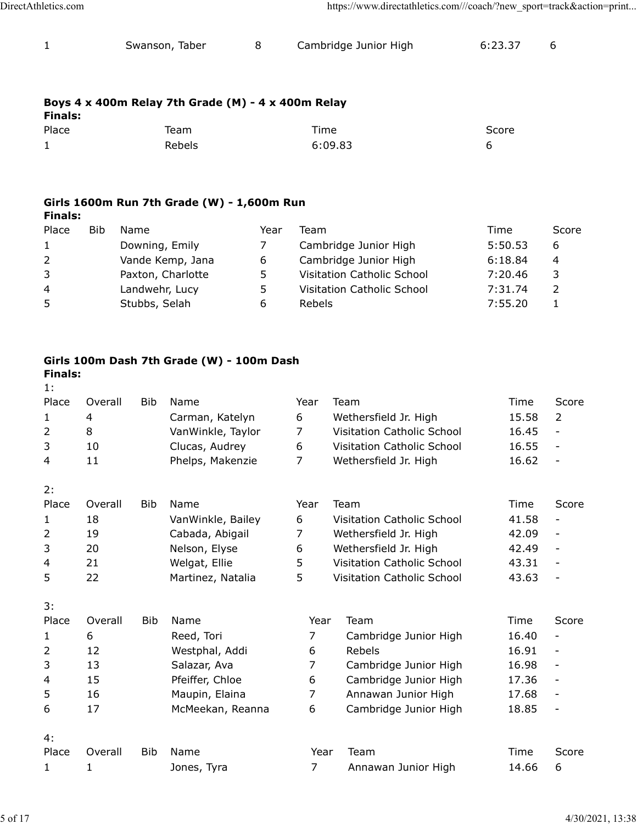| DirectAthletics.com |                                                    |   | https://www.directathletics.com///coach/?new_sport=track&action=print |         |   |
|---------------------|----------------------------------------------------|---|-----------------------------------------------------------------------|---------|---|
| $\mathbf{1}$        | Swanson, Taber                                     | 8 | Cambridge Junior High                                                 | 6:23.37 | 6 |
|                     |                                                    |   |                                                                       |         |   |
|                     | Boys 4 x 400m Relay 7th Grade (M) - 4 x 400m Relay |   |                                                                       |         |   |

## Boys 4 x 400m Relay 7th Grade (M) - 4 x 400m Relay

| letics.com     |                                                    |   | https://www.directathletics.com///coach/?new_sport=track&action=print |         |   |
|----------------|----------------------------------------------------|---|-----------------------------------------------------------------------|---------|---|
| $\mathbf{1}$   | Swanson, Taber                                     | 8 | Cambridge Junior High                                                 | 6:23.37 | 6 |
| <b>Finals:</b> | Boys 4 x 400m Relay 7th Grade (M) - 4 x 400m Relay |   |                                                                       |         |   |
| Place          | Team                                               |   | Time                                                                  | Score   |   |
| $\mathbf{1}$   | Rebels                                             |   | 6:09.83                                                               | 6       |   |
|                |                                                    |   |                                                                       |         |   |
|                |                                                    |   |                                                                       |         |   |
|                | Girls 1600m Run 7th Grade (W) - 1,600m Run         |   |                                                                       |         |   |

## Girls 1600m Run 7th Grade (W) - 1,600m Run Finals:

| letics.com     |                                                    |      | https://www.directathletics.com///coach/?new_sport=track&action=print |         |                |
|----------------|----------------------------------------------------|------|-----------------------------------------------------------------------|---------|----------------|
| $\mathbf{1}$   | Swanson, Taber                                     | 8    | Cambridge Junior High                                                 | 6:23.37 | 6              |
| <b>Finals:</b> | Boys 4 x 400m Relay 7th Grade (M) - 4 x 400m Relay |      |                                                                       |         |                |
| Place          | Team                                               |      | Time                                                                  | Score   |                |
| $\mathbf{1}$   | Rebels                                             |      | 6:09.83                                                               | 6       |                |
| <b>Finals:</b> | Girls 1600m Run 7th Grade (W) - 1,600m Run         |      |                                                                       |         |                |
| Place          | <b>Bib</b><br>Name                                 | Year | Team                                                                  | Time    | Score          |
| $\mathbf{1}$   | Downing, Emily                                     | 7    | Cambridge Junior High                                                 | 5:50.53 | 6              |
| 2              | Vande Kemp, Jana                                   | 6    | Cambridge Junior High                                                 | 6:18.84 | 4              |
| 3              | Paxton, Charlotte                                  | 5    | Visitation Catholic School                                            | 7:20.46 | 3              |
| 4              | Landwehr, Lucy                                     | 5    | Visitation Catholic School                                            | 7:31.74 | $\overline{2}$ |
|                | Stubbs, Selah                                      | 6    | Rebels                                                                | 7:55.20 | $\mathbf{1}$   |

## Girls 100m Dash 7th Grade (W) - 100m Dash

| Place                |              |               | Team                                       |      | Time           |                                                | Score          |                                                      |                  |
|----------------------|--------------|---------------|--------------------------------------------|------|----------------|------------------------------------------------|----------------|------------------------------------------------------|------------------|
| $\mathbf{1}$         |              |               | Rebels                                     |      |                | 6:09.83                                        | 6              |                                                      |                  |
| <b>Finals:</b>       |              |               | Girls 1600m Run 7th Grade (W) - 1,600m Run |      |                |                                                |                |                                                      |                  |
| Place                | <b>Bib</b>   | Name          |                                            | Year | Team           |                                                | Time           | Score                                                |                  |
| $\mathbf{1}$         |              |               | Downing, Emily                             | 7    |                | Cambridge Junior High                          | 5:50.53        | 6                                                    |                  |
| $\overline{2}$       |              |               | Vande Kemp, Jana                           | 6    |                | Cambridge Junior High                          | 6:18.84        | 4                                                    |                  |
| 3                    |              |               | Paxton, Charlotte                          | 5    |                | Visitation Catholic School                     | 7:20.46        | 3                                                    |                  |
| 4                    |              |               | Landwehr, Lucy                             | 5    |                | Visitation Catholic School                     | 7:31.74        | $\overline{2}$                                       |                  |
| 5                    |              | Stubbs, Selah |                                            | 6    | Rebels         |                                                | 7:55.20        | $\mathbf{1}$                                         |                  |
|                      |              |               | Girls 100m Dash 7th Grade (W) - 100m Dash  |      |                |                                                |                |                                                      |                  |
| <b>Finals:</b><br>1: |              |               |                                            |      |                |                                                |                |                                                      |                  |
| Place                | Overall      | <b>Bib</b>    | Name                                       |      | Year           | Team                                           | Time           | Score                                                |                  |
| $\mathbf{1}$         | 4            |               | Carman, Katelyn                            |      | 6              | Wethersfield Jr. High                          | 15.58          | 2                                                    |                  |
| $\overline{2}$       | 8            |               | VanWinkle, Taylor                          |      | 7              | Visitation Catholic School                     | 16.45          | $\overline{\phantom{a}}$                             |                  |
| 3                    | 10           |               | Clucas, Audrey                             |      | 6              | Visitation Catholic School                     | 16.55          | $\overline{\phantom{a}}$                             |                  |
| 4                    | 11           |               | Phelps, Makenzie                           |      | $\overline{7}$ | Wethersfield Jr. High                          | 16.62          | $\overline{\phantom{0}}$                             |                  |
| 2:                   |              |               |                                            |      |                |                                                |                |                                                      |                  |
| Place                | Overall      | <b>Bib</b>    | Name                                       |      | Year           | Team                                           | Time           | Score                                                |                  |
| 1                    | 18           |               | VanWinkle, Bailey                          |      | 6              | Visitation Catholic School                     | 41.58          | $\overline{\phantom{a}}$                             |                  |
| 2                    | 19<br>20     |               | Cabada, Abigail                            |      | 7              | Wethersfield Jr. High<br>Wethersfield Jr. High | 42.09<br>42.49 | $\overline{\phantom{a}}$<br>$\overline{\phantom{a}}$ |                  |
| 3                    | 21           |               | Nelson, Elyse                              |      | 6<br>5         | Visitation Catholic School                     | 43.31          | $\overline{a}$                                       |                  |
| 4<br>5               | 22           |               | Welgat, Ellie<br>Martinez, Natalia         |      | 5              | Visitation Catholic School                     | 43.63          | $\overline{\phantom{a}}$                             |                  |
|                      |              |               |                                            |      |                |                                                |                |                                                      |                  |
| 3:<br>Place          | Overall      | Bib           | Name                                       |      | Year           | Team                                           | Time           | Score                                                |                  |
| $\mathbf{1}$         | 6            |               | Reed, Tori                                 |      | 7              | Cambridge Junior High                          | 16.40          | $\overline{\phantom{a}}$                             |                  |
| $\overline{2}$       | 12           |               | Westphal, Addi                             |      | 6              | Rebels                                         | 16.91          | $\overline{\phantom{m}}$                             |                  |
| 3                    | 13           |               | Salazar, Ava                               |      | $\overline{7}$ | Cambridge Junior High                          | 16.98          | $\overline{\phantom{a}}$                             |                  |
| 4                    | 15           |               | Pfeiffer, Chloe                            |      | 6              | Cambridge Junior High                          | 17.36          | $\overline{\phantom{a}}$                             |                  |
| 5                    | 16           |               | Maupin, Elaina                             |      | $\overline{7}$ | Annawan Junior High                            | 17.68          | $\overline{\phantom{m}}$                             |                  |
| 6                    | 17           |               | McMeekan, Reanna                           |      | 6              | Cambridge Junior High                          | 18.85          | $\overline{\phantom{a}}$                             |                  |
| 4:                   |              |               |                                            |      |                |                                                |                |                                                      |                  |
| Place                | Overall      | Bib           | Name                                       |      | Year           | Team                                           | Time           | Score                                                |                  |
| $\mathbf{1}$         | $\mathbf{1}$ |               | Jones, Tyra                                |      | $\overline{7}$ | Annawan Junior High                            | 14.66          | 6                                                    |                  |
|                      |              |               |                                            |      |                |                                                |                |                                                      |                  |
|                      |              |               |                                            |      |                |                                                |                |                                                      | 4/30/2021, 13:38 |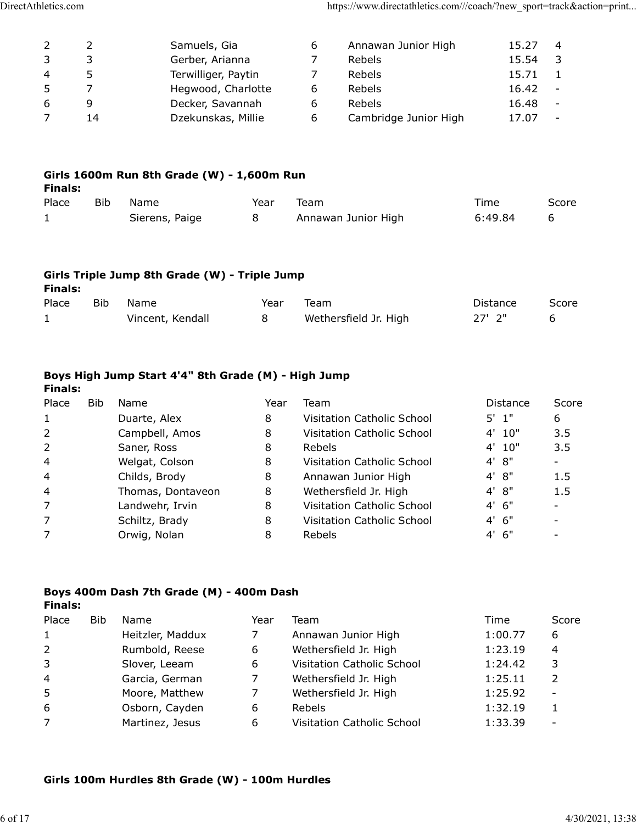| DirectAthletics.com     |                     |                                               |      |                     | https://www.directathletics.com///coach/?new_sport=track&action=print |                |                                |  |
|-------------------------|---------------------|-----------------------------------------------|------|---------------------|-----------------------------------------------------------------------|----------------|--------------------------------|--|
|                         |                     |                                               |      |                     |                                                                       |                |                                |  |
|                         |                     |                                               |      |                     |                                                                       |                |                                |  |
| 2<br>$\mathsf{3}$       | $\overline{2}$<br>3 | Samuels, Gia                                  |      | 6<br>$\overline{7}$ | Annawan Junior High                                                   | 15.27<br>15.54 | $\overline{4}$                 |  |
| $\overline{\mathbf{4}}$ | 5                   | Gerber, Arianna<br>Terwilliger, Paytin        |      | $\overline{7}$      | Rebels<br>Rebels                                                      | 15.71          | $\overline{3}$<br>$\mathbf{1}$ |  |
| 5                       | $\overline{7}$      | Hegwood, Charlotte                            |      | 6                   | Rebels                                                                | 16.42          | $\overline{\phantom{a}}$       |  |
| $\boldsymbol{6}$        | 9                   | Decker, Savannah                              |      | 6                   | Rebels                                                                | 16.48          | $\sim$ $-$                     |  |
| $\overline{7}$          | 14                  | Dzekunskas, Millie                            |      | 6                   | Cambridge Junior High                                                 | 17.07          | $\overline{\phantom{a}}$       |  |
|                         |                     |                                               |      |                     |                                                                       |                |                                |  |
|                         |                     |                                               |      |                     |                                                                       |                |                                |  |
|                         |                     |                                               |      |                     |                                                                       |                |                                |  |
|                         |                     |                                               |      |                     |                                                                       |                |                                |  |
|                         |                     | Girls 1600m Run 8th Grade (W) - 1,600m Run    |      |                     |                                                                       |                |                                |  |
| <b>Finals:</b><br>Place |                     | Bib Name                                      |      | Year Team           |                                                                       | Time           | Score                          |  |
| $\mathbf{1}$            |                     | Sierens, Paige                                | 8    |                     | Annawan Junior High                                                   | 6:49.84        | 6                              |  |
|                         |                     |                                               |      |                     |                                                                       |                |                                |  |
|                         |                     |                                               |      |                     |                                                                       |                |                                |  |
|                         |                     |                                               |      |                     |                                                                       |                |                                |  |
|                         |                     | Girls Triple Jump 8th Grade (W) - Triple Jump |      |                     |                                                                       |                |                                |  |
| <b>Finals:</b><br>Place | <b>Bib</b>          | Name                                          | Year | Team                |                                                                       | Distance       | Score                          |  |

| Finals: |      | Girls 1600m Run 8th Grade (W) - 1,600m Run |      |      |      |      |
|---------|------|--------------------------------------------|------|------|------|------|
| Place   | Bib. | Name                                       | Year | Team | Time | Scor |

#### Girls Triple Jump 8th Grade (W) - Triple Jump Finals:

| Place | Bib | Name             | Year | Team                  | Distance | Score |
|-------|-----|------------------|------|-----------------------|----------|-------|
|       |     | Vincent, Kendall |      | Wethersfield Jr. High | 27' 2"   |       |

### Boys High Jump Start 4'4" 8th Grade (M) - High Jump Finals:

| <b>Finals:</b> |            | Girls 1600m Run 8th Grade (W) - 1,600m Run          |        |                                 |                    |                                                      |
|----------------|------------|-----------------------------------------------------|--------|---------------------------------|--------------------|------------------------------------------------------|
| Place          | Bib        | Name                                                | Year   | Team                            | Time               | Score                                                |
| $\mathbf{1}$   |            | Sierens, Paige                                      | 8      | Annawan Junior High             | 6:49.84            | 6                                                    |
| <b>Finals:</b> |            | Girls Triple Jump 8th Grade (W) - Triple Jump       |        |                                 |                    |                                                      |
| Place          | <b>Bib</b> | Name                                                | Year   | Team                            | Distance           | Score                                                |
| $\mathbf{1}$   |            | Vincent, Kendall                                    | 8      | Wethersfield Jr. High           | $27'$ $2"$         | 6                                                    |
| <b>Finals:</b> |            | Boys High Jump Start 4'4" 8th Grade (M) - High Jump |        |                                 |                    |                                                      |
| Place          | Bib        | Name                                                | Year   | Team                            | Distance           | Score                                                |
| 1              |            | Duarte, Alex                                        | 8      | Visitation Catholic School      | $5'$ 1"            | 6                                                    |
| 2              |            | Campbell, Amos                                      | 8      | Visitation Catholic School      | 4' 10"             | 3.5                                                  |
| 2              |            | Saner, Ross                                         | 8      | Rebels                          | 4'<br>10"          | 3.5                                                  |
| 4              |            | Welgat, Colson                                      | 8      | Visitation Catholic School      | 8"<br>4'           | $\sim$                                               |
|                |            | Childs, Brody                                       | 8      | Annawan Junior High             | 8"<br>4'           | 1.5                                                  |
|                |            |                                                     | 8      | Wethersfield Jr. High           | 4'<br>8"           | 1.5                                                  |
| 4              |            |                                                     |        |                                 |                    | $\sim$                                               |
| 4              |            | Thomas, Dontaveon                                   |        |                                 |                    |                                                      |
| 7              |            | Landwehr, Irvin                                     | 8      | Visitation Catholic School      | 4'<br>6"           |                                                      |
| 7<br>7         |            | Schiltz, Brady                                      | 8<br>8 | Visitation Catholic School      | 6"<br>4'<br>4' 6'' | $\overline{\phantom{a}}$<br>$\overline{\phantom{a}}$ |
|                |            | Orwig, Nolan                                        |        | Rebels                          |                    |                                                      |
|                |            | Boys 400m Dash 7th Grade (M) - 400m Dash            |        |                                 |                    |                                                      |
| <b>Finals:</b> |            |                                                     |        |                                 |                    |                                                      |
| Place          | Bib        | Name                                                | Year   | Team                            | Time               | Score                                                |
| $\mathbf{1}$   |            | Heitzler, Maddux                                    | 7      | Annawan Junior High             | 1:00.77            | 6                                                    |
| $\overline{2}$ |            | Rumbold, Reese                                      | 6      | Wethersfield Jr. High           | 1:23.19            | 4                                                    |
| 3              |            | Slover, Leeam                                       | 6      | Visitation Catholic School      | 1:24.42            | 3                                                    |
| 4              |            | Garcia, German                                      | 7      | Wethersfield Jr. High           | 1:25.11            | $\overline{2}$                                       |
| 5<br>6         |            | Moore, Matthew<br>Osborn, Cayden                    | 7<br>6 | Wethersfield Jr. High<br>Rebels | 1:25.92<br>1:32.19 | $\mathbf{1}$                                         |

### Boys 400m Dash 7th Grade (M) - 400m Dash Finals:

| 2                     | Saner, Ross                              | 8         | Rebels                                       | 4' 10"             | 3.5          |
|-----------------------|------------------------------------------|-----------|----------------------------------------------|--------------------|--------------|
| 4                     | Welgat, Colson                           | 8         | Visitation Catholic School                   | 4' 8"              |              |
| 4                     | Childs, Brody                            | 8         | Annawan Junior High                          | 4' 8''             | 1.5          |
| 4                     | Thomas, Dontaveon                        | 8         | Wethersfield Jr. High                        | 4' 8"              | 1.5          |
| 7                     | Landwehr, Irvin                          | 8         | Visitation Catholic School                   | 4' 6''             |              |
| 7                     | Schiltz, Brady                           | 8         | Visitation Catholic School                   | 4' 6''             |              |
| 7                     | Orwig, Nolan                             | 8         | Rebels                                       | 4' 6''             |              |
|                       | Boys 400m Dash 7th Grade (M) - 400m Dash |           |                                              |                    |              |
|                       |                                          |           |                                              |                    |              |
| <b>Finals:</b><br>Bib | Name                                     |           | Team                                         | Time               |              |
| Place                 |                                          | Year<br>7 |                                              |                    | Score<br>6   |
| 1<br>2                | Heitzler, Maddux<br>Rumbold, Reese       | 6         | Annawan Junior High<br>Wethersfield Jr. High | 1:00.77<br>1:23.19 | 4            |
| 3                     | Slover, Leeam                            | 6         | Visitation Catholic School                   | 1:24.42            | 3            |
| 4                     | Garcia, German                           | 7         | Wethersfield Jr. High                        | 1:25.11            | 2            |
| 5                     | Moore, Matthew                           | 7         | Wethersfield Jr. High                        | 1:25.92            |              |
| 6                     | Osborn, Cayden                           | 6         | Rebels                                       | 1:32.19            | $\mathbf{1}$ |

## Girls 100m Hurdles 8th Grade (W) - 100m Hurdles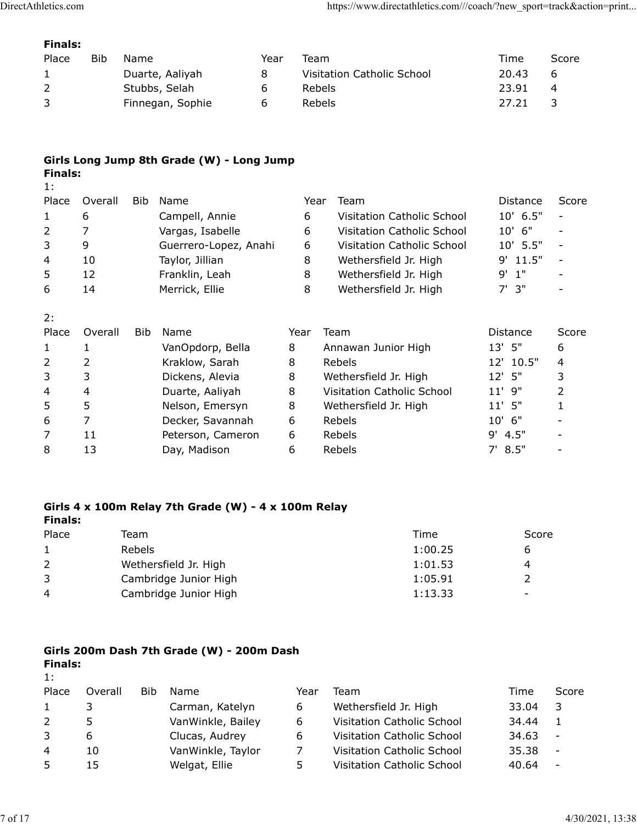## Finals:

| DirectAthletics.com              |            |                 |         | https://www.directathletics.com///coach/?new_sport=track&action=print |       |                |  |
|----------------------------------|------------|-----------------|---------|-----------------------------------------------------------------------|-------|----------------|--|
|                                  |            |                 |         |                                                                       |       |                |  |
| <b>Finals:</b><br>Place          | <b>Bib</b> | Name            | Year    | Team                                                                  | Time  | Score          |  |
| $\mathbf{1}$                     |            | Duarte, Aaliyah | $\,8\,$ | Visitation Catholic School                                            | 20.43 | 6              |  |
| $\overline{2}$<br>$\overline{3}$ |            | Stubbs, Selah   | 6       | Rebels                                                                | 23.91 | $\overline{4}$ |  |

## Girls Long Jump 8th Grade (W) - Long Jump Finals:

| letics.com     |                |        |                                                     |      |        | https://www.directathletics.com///coach/?new_sport=track&action=print |                |                          |
|----------------|----------------|--------|-----------------------------------------------------|------|--------|-----------------------------------------------------------------------|----------------|--------------------------|
| <b>Finals:</b> |                |        |                                                     |      |        |                                                                       |                |                          |
| Place          | Bib            | Name   |                                                     | Year | Team   |                                                                       | Time           | Score                    |
| $\mathbf{1}$   |                |        | Duarte, Aaliyah                                     | 8    |        | Visitation Catholic School                                            | 20.43          | 6                        |
| 2              |                |        | Stubbs, Selah                                       | 6    | Rebels |                                                                       | 23.91          | 4                        |
| 3              |                |        | Finnegan, Sophie                                    | 6    | Rebels |                                                                       | 27.21          | 3                        |
| <b>Finals:</b> |                |        | Girls Long Jump 8th Grade (W) - Long Jump           |      |        |                                                                       |                |                          |
| 1:             |                |        |                                                     |      |        |                                                                       |                |                          |
| Place          | Overall        | Bib    | Name                                                |      | Year   | Team                                                                  | Distance       | Score                    |
| $\mathbf{1}$   | 6              |        | Campell, Annie                                      |      | 6      | Visitation Catholic School                                            | 10' 6.5"       | $\overline{\phantom{a}}$ |
| $\overline{2}$ | $\overline{7}$ |        | Vargas, Isabelle                                    |      | 6      | Visitation Catholic School                                            | 10' 6"         |                          |
| 3              | 9              |        | Guerrero-Lopez, Anahi                               |      | 6      | Visitation Catholic School                                            | 10' 5.5"       | $\overline{\phantom{a}}$ |
| 4              | 10             |        | Taylor, Jillian                                     |      | 8      | Wethersfield Jr. High                                                 | 9' 11.5"       | $\overline{\phantom{a}}$ |
| 5              | 12             |        | Franklin, Leah                                      |      | 8      | Wethersfield Jr. High                                                 | $9'$ 1"        |                          |
| 6              | 14             |        | Merrick, Ellie                                      |      | 8      | Wethersfield Jr. High                                                 | $7'$ 3"        |                          |
| 2:<br>Place    | Overall        | Bib    | Name                                                |      | Year   | Team                                                                  | Distance       | Score                    |
| $\mathbf{1}$   | $\mathbf{1}$   |        | VanOpdorp, Bella                                    |      | 8      | Annawan Junior High                                                   | 13' 5"         | 6                        |
| $\overline{2}$ | 2              |        | Kraklow, Sarah                                      |      | 8      | Rebels                                                                | 12' 10.5"      | 4                        |
| 3              | 3              |        | Dickens, Alevia                                     |      | 8      | Wethersfield Jr. High                                                 | $12'$ 5"       | 3                        |
| $\overline{4}$ | 4              |        | Duarte, Aaliyah                                     |      | 8      | Visitation Catholic School                                            | 11' 9"         | $\overline{2}$           |
| 5              | 5              |        | Nelson, Emersyn                                     |      | 8      | Wethersfield Jr. High                                                 | $11'$ 5"       | $\mathbf{1}$             |
| 6              | $\overline{7}$ |        | Decker, Savannah                                    |      | 6      | Rebels                                                                | 10' 6"         |                          |
| $\overline{7}$ | 11             |        | Peterson, Cameron                                   |      | 6      | Rebels                                                                | $9'$ 4.5"      | $\overline{\phantom{a}}$ |
| 8              | 13             |        | Day, Madison                                        |      | 6      | Rebels                                                                | 7' 8.5''       | $\overline{\phantom{a}}$ |
|                |                |        | Girls 4 x 100m Relay 7th Grade (W) - 4 x 100m Relay |      |        |                                                                       |                |                          |
| <b>Finals:</b> |                |        |                                                     |      |        |                                                                       |                |                          |
| Place          |                | Team   |                                                     |      |        | Time                                                                  | Score          |                          |
| $\mathbf{1}$   |                | Rebels |                                                     |      |        | 1:00.25                                                               | 6              |                          |
| 2              |                |        | Wethersfield Jr. High                               |      |        | 1:01.53                                                               | 4              |                          |
| 3              |                |        | Cambridge Junior High                               |      |        | 1:05.91                                                               | $\overline{2}$ |                          |
| 4              |                |        | Cambridge Junior High                               |      |        | 1:13.33                                                               |                |                          |

### Girls 4 x 100m Relay 7th Grade (W) - 4 x 100m Relay Finals:

| Place | Team                  | Time    | Score                    |
|-------|-----------------------|---------|--------------------------|
|       | Rebels                | 1:00.25 |                          |
|       | Wethersfield Jr. High | 1:01.53 | 4                        |
| 3     | Cambridge Junior High | 1:05.91 |                          |
| 4     | Cambridge Junior High | 1:13.33 | $\overline{\phantom{0}}$ |

## Girls 200m Dash 7th Grade (W) - 200m Dash Finals:

| 6              | 7       |        | Decker, Savannah                                    | 6              | Rebels                     | 6"<br>10'                |                          |
|----------------|---------|--------|-----------------------------------------------------|----------------|----------------------------|--------------------------|--------------------------|
| 7              | 11      |        | Peterson, Cameron                                   | 6              | Rebels                     | $9'$ 4.5"                |                          |
| 8              | 13      |        | Day, Madison                                        | 6              | Rebels                     | 7' 8.5''                 | $\overline{\phantom{a}}$ |
|                |         |        |                                                     |                |                            |                          |                          |
| <b>Finals:</b> |         |        | Girls 4 x 100m Relay 7th Grade (W) - 4 x 100m Relay |                |                            |                          |                          |
| Place          |         | Team   |                                                     |                | Time                       | Score                    |                          |
| $\mathbf{1}$   |         | Rebels |                                                     |                | 1:00.25                    | 6                        |                          |
| $\overline{2}$ |         |        | Wethersfield Jr. High                               |                | 1:01.53                    | 4                        |                          |
| 3              |         |        | Cambridge Junior High                               |                | 1:05.91                    | $\overline{2}$           |                          |
| 4              |         |        | Cambridge Junior High                               |                | 1:13.33                    | $\overline{\phantom{a}}$ |                          |
| <b>Finals:</b> |         |        | Girls 200m Dash 7th Grade (W) - 200m Dash           |                |                            |                          |                          |
| 1:<br>Place    | Overall | Bib    | Name                                                | Year           | Team                       | Time                     | Score                    |
| $\mathbf{1}$   | 3       |        | Carman, Katelyn                                     | 6              | Wethersfield Jr. High      | 33.04                    | 3                        |
| $\overline{2}$ | 5       |        | VanWinkle, Bailey                                   | 6              | Visitation Catholic School | 34.44                    | $\mathbf{1}$             |
| 3              | 6       |        | Clucas, Audrey                                      | 6              | Visitation Catholic School | 34.63                    | $\overline{a}$           |
| 4              | 10      |        | VanWinkle, Taylor                                   | $\overline{7}$ | Visitation Catholic School | 35.38                    | $\overline{\phantom{a}}$ |
| 5              | 15      |        | Welgat, Ellie                                       | 5              | Visitation Catholic School | 40.64                    | $\overline{\phantom{a}}$ |
|                |         |        |                                                     |                |                            |                          |                          |
|                |         |        |                                                     |                |                            |                          |                          |
|                |         |        |                                                     |                |                            |                          | 4/30/2021, 13:38         |
|                |         |        |                                                     |                |                            |                          |                          |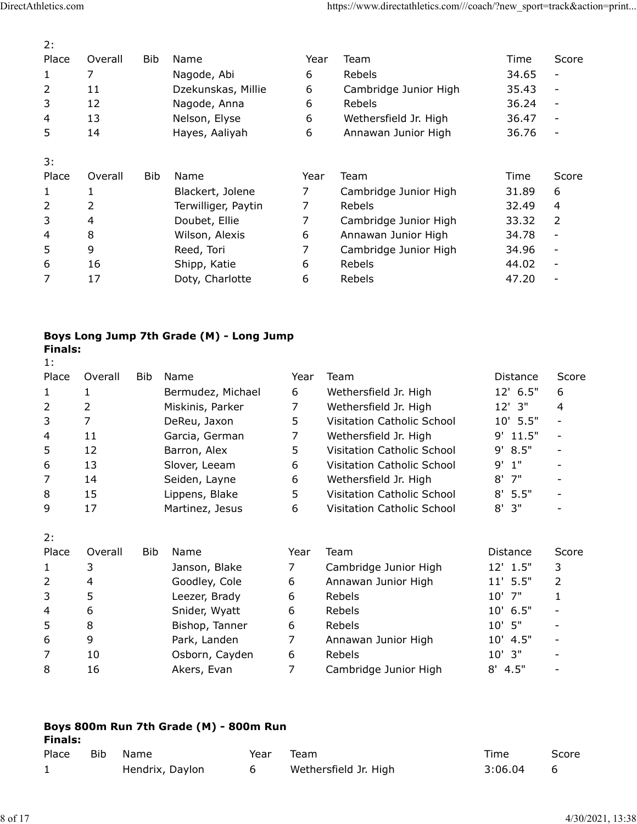| DirectAthletics.com |                |            |                                          |                | https://www.directathletics.com///coach/?new_sport=track&action=print |             |                          |
|---------------------|----------------|------------|------------------------------------------|----------------|-----------------------------------------------------------------------|-------------|--------------------------|
|                     |                |            |                                          |                |                                                                       |             |                          |
| 2:<br>Place         | Overall        | <b>Bib</b> | Name                                     | Year           | Team                                                                  | Time        | Score                    |
| 1                   | $\overline{7}$ |            | Nagode, Abi                              | 6              | Rebels                                                                | 34.65       | $\overline{\phantom{a}}$ |
| $\overline{2}$      | 11             |            | Dzekunskas, Millie                       | 6              | Cambridge Junior High                                                 | 35.43       | $\overline{\phantom{a}}$ |
| $\mathfrak{Z}$      | 12             |            | Nagode, Anna                             | 6              | Rebels                                                                | 36.24       | $\overline{\phantom{a}}$ |
| 4                   | 13             |            | Nelson, Elyse                            | 6              | Wethersfield Jr. High                                                 | 36.47       | $\blacksquare$           |
| 5                   | 14             |            | Hayes, Aaliyah                           | 6              | Annawan Junior High                                                   | 36.76       |                          |
| 3:                  |                |            |                                          |                |                                                                       |             |                          |
| Place               | Overall        | <b>Bib</b> | Name                                     | Year           | Team                                                                  | Time        | Score                    |
| 1                   | 1              |            | Blackert, Jolene                         | 7              | Cambridge Junior High                                                 | 31.89       | 6                        |
| 2                   | 2              |            | Terwilliger, Paytin                      |                | Rebels                                                                | 32.49       | 4                        |
| 3                   | 4              |            | Doubet, Ellie                            | 7              | Cambridge Junior High                                                 | 33.32       | $\overline{2}$           |
| 4                   | 8              |            | Wilson, Alexis                           | 6              | Annawan Junior High                                                   | 34.78       | $\overline{\phantom{a}}$ |
| 5                   | 9              |            | Reed, Tori                               | 7              | Cambridge Junior High                                                 | 34.96       |                          |
| 6                   | 16             |            | Shipp, Katie                             | 6              | Rebels                                                                | 44.02       | $\overline{\phantom{a}}$ |
| $\overline{7}$      | 17             |            | Doty, Charlotte                          | 6              | Rebels                                                                | 47.20       | $\overline{\phantom{a}}$ |
|                     |                |            |                                          |                |                                                                       |             |                          |
|                     |                |            |                                          |                |                                                                       |             |                          |
|                     |                |            | Boys Long Jump 7th Grade (M) - Long Jump |                |                                                                       |             |                          |
| <b>Finals:</b>      |                |            |                                          |                |                                                                       |             |                          |
| 1:<br>Place         | Overall        | Bib        | Name                                     | Year           | Team                                                                  | Distance    | Score                    |
| $\mathbf{1}$        | $\mathbf{1}$   |            | Bermudez, Michael                        | 6              | Wethersfield Jr. High                                                 | 12' 6.5"    | 6                        |
| $\overline{2}$      | $\overline{2}$ |            | Miskinis, Parker                         | $\overline{7}$ | Wethersfield Jr. High                                                 | $12'$ 3"    | 4                        |
| 3                   | $\overline{7}$ |            | DeReu, Jaxon                             | 5              | Visitation Catholic School                                            | 10' 5.5"    |                          |
| $\overline{4}$      | 11             |            | Garcia, German                           | $\overline{7}$ | Wethersfield Jr. High                                                 | 11.5"<br>9' | $\overline{\phantom{a}}$ |
| 5                   | 12             |            | Barron, Alex                             | 5              | Visitation Catholic School                                            | 8.5"<br>9'  | $\overline{\phantom{a}}$ |
| 6                   | 13             |            | Slover, Leeam                            | 6              | Visitation Catholic School                                            | $9'$ 1"     |                          |
|                     | 14             |            | Seiden, Layne                            | 6              | Wethersfield Jr. High                                                 | $8'$ 7"     |                          |

# Boys Long Jump 7th Grade (M) - Long Jump Finals:<br>1:

| 3:             |                |            |                                          |      |      |                            |            |                          |                  |
|----------------|----------------|------------|------------------------------------------|------|------|----------------------------|------------|--------------------------|------------------|
| Place          | Overall        | Bib        | Name                                     |      | Year | Team                       | Time       | Score                    |                  |
| $\mathbf{1}$   | 1              |            | Blackert, Jolene                         |      | 7    | Cambridge Junior High      | 31.89      | 6                        |                  |
| 2              | 2              |            | Terwilliger, Paytin                      |      | 7    | Rebels                     | 32.49      | 4                        |                  |
| 3              | 4              |            | Doubet, Ellie                            |      | 7    | Cambridge Junior High      | 33.32      | $\overline{2}$           |                  |
| 4              | 8              |            | Wilson, Alexis                           |      | 6    | Annawan Junior High        | 34.78      | $\overline{\phantom{a}}$ |                  |
| 5              | 9              |            | Reed, Tori                               |      | 7    | Cambridge Junior High      | 34.96      | $\overline{\phantom{a}}$ |                  |
| 6              | 16             |            | Shipp, Katie                             |      | 6    | Rebels                     | 44.02      | $\overline{\phantom{a}}$ |                  |
| $\overline{7}$ | 17             |            | Doty, Charlotte                          |      | 6    | Rebels                     | 47.20      | $\overline{\phantom{a}}$ |                  |
| <b>Finals:</b> |                |            | Boys Long Jump 7th Grade (M) - Long Jump |      |      |                            |            |                          |                  |
| 1:             |                |            |                                          |      |      |                            |            |                          |                  |
| Place          | Overall        | Bib        | Name                                     |      | Year | Team                       | Distance   | Score                    |                  |
| $\mathbf{1}$   | $\mathbf{1}$   |            | Bermudez, Michael                        |      | 6    | Wethersfield Jr. High      | 12' 6.5"   | 6                        |                  |
| $\overline{2}$ | $\overline{2}$ |            | Miskinis, Parker                         |      | 7    | Wethersfield Jr. High      | 12' 3"     | 4                        |                  |
| 3              | $\overline{7}$ |            | DeReu, Jaxon                             |      | 5    | Visitation Catholic School | 10' 5.5"   | $\overline{\phantom{0}}$ |                  |
| 4              | 11             |            | Garcia, German                           |      | 7    | Wethersfield Jr. High      | 9' 11.5"   | $\overline{\phantom{a}}$ |                  |
| 5              | 12             |            | Barron, Alex                             |      | 5    | Visitation Catholic School | 8.5"<br>9' | $\overline{\phantom{a}}$ |                  |
| 6              | 13             |            | Slover, Leeam                            |      | 6    | Visitation Catholic School | 1"<br>9'   |                          |                  |
| $\overline{7}$ | 14             |            | Seiden, Layne                            |      | 6    | Wethersfield Jr. High      | 7"<br>8'   | $\overline{\phantom{a}}$ |                  |
| 8              | 15             |            | Lippens, Blake                           |      | 5    | Visitation Catholic School | 5.5"<br>8' | $\overline{\phantom{a}}$ |                  |
| 9              | 17             |            | Martinez, Jesus                          |      | 6    | Visitation Catholic School | 3"<br>8'   |                          |                  |
| 2:             |                |            |                                          |      |      |                            |            |                          |                  |
| Place          | Overall        | <b>Bib</b> | Name                                     |      | Year | Team                       | Distance   | Score                    |                  |
| $\mathbf{1}$   | 3              |            | Janson, Blake                            |      | 7    | Cambridge Junior High      | 12' 1.5"   | 3                        |                  |
| $\overline{2}$ | 4              |            | Goodley, Cole                            |      | 6    | Annawan Junior High        | $11'$ 5.5" | $\overline{2}$           |                  |
| 3              | 5              |            | Leezer, Brady                            |      | 6    | Rebels                     | 10' 7"     | 1                        |                  |
| 4              | 6              |            | Snider, Wyatt                            |      | 6    | Rebels                     | 10' 6.5"   |                          |                  |
| 5              | 8              |            | Bishop, Tanner                           |      | 6    | Rebels                     | $10'$ 5"   |                          |                  |
| 6              | 9              |            | Park, Landen                             |      |      | Annawan Junior High        | 10' 4.5"   |                          |                  |
| 7              | 10             |            | Osborn, Cayden                           |      | 6    | Rebels                     | $10'$ 3"   |                          |                  |
| 8              | 16             |            | Akers, Evan                              |      | 7    | Cambridge Junior High      | $8'$ 4.5"  |                          |                  |
|                |                |            |                                          |      |      |                            |            |                          |                  |
|                |                |            |                                          |      |      |                            |            |                          |                  |
| <b>Finals:</b> |                |            | Boys 800m Run 7th Grade (M) - 800m Run   |      |      |                            |            |                          |                  |
| Place          | Bib            | Name       |                                          | Year | Team |                            | Time       | Score                    |                  |
| $\mathbf{1}$   |                |            | Hendrix, Daylon                          | 6    |      | Wethersfield Jr. High      | 3:06.04    | 6                        |                  |
|                |                |            |                                          |      |      |                            |            |                          |                  |
|                |                |            |                                          |      |      |                            |            |                          | 4/30/2021, 13:38 |
|                |                |            |                                          |      |      |                            |            |                          |                  |

| . ت |    | LEEZEI, DIAUY  | v | <b>NENEIS</b>         | $\mathbf{u}$ |                          |  |
|-----|----|----------------|---|-----------------------|--------------|--------------------------|--|
| 4   |    | Snider, Wyatt  |   | Rebels                | 10' 6.5"     | $\overline{\phantom{a}}$ |  |
|     |    | Bishop, Tanner |   | <b>Rebels</b>         | $10'$ 5"     |                          |  |
| 6   |    | Park, Landen   |   | Annawan Junior High   | $10'$ 4.5"   |                          |  |
|     | 10 | Osborn, Cayden |   | <b>Rebels</b>         | $10'$ 3"     |                          |  |
| 8   | 16 | Akers, Evan    |   | Cambridge Junior High | $8'$ 4.5"    | -                        |  |
|     |    |                |   |                       |              |                          |  |

| Boys 800m Run 7th Grade (M) - 800m Run<br><b>Finals:</b> |     |                 |      |                       |         |       |  |  |  |  |
|----------------------------------------------------------|-----|-----------------|------|-----------------------|---------|-------|--|--|--|--|
| Place                                                    | Bib | Name.           | Year | Team                  | Time    | Score |  |  |  |  |
|                                                          |     | Hendrix, Daylon | 6    | Wethersfield Jr. High | 3:06.04 | 6     |  |  |  |  |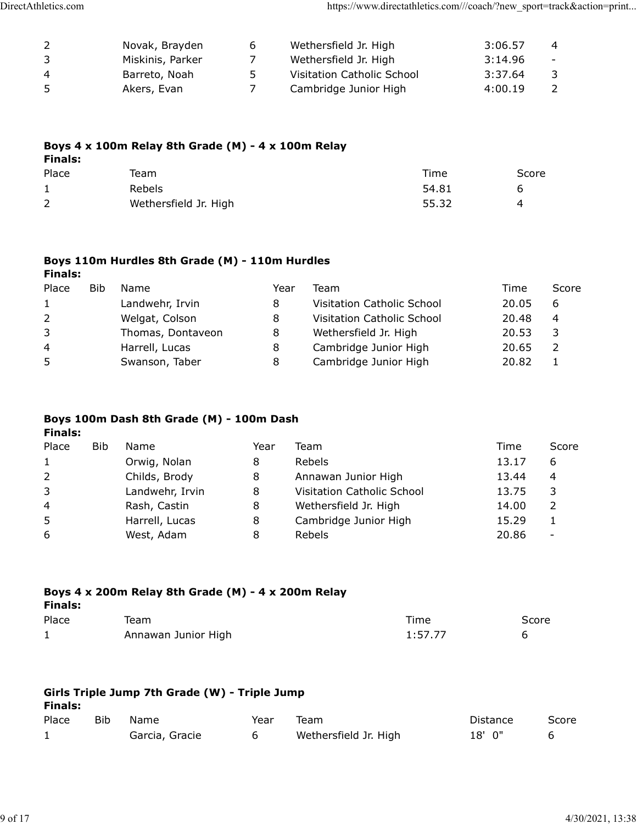| 5<br><b>Finals:</b><br>Place | Boys 4 x 100m Relay 8th Grade (M) - 4 x 100m Relay<br>Team |                | Time                                                                  | Score   |                |
|------------------------------|------------------------------------------------------------|----------------|-----------------------------------------------------------------------|---------|----------------|
|                              |                                                            |                |                                                                       |         |                |
|                              |                                                            |                |                                                                       |         |                |
|                              | Akers, Evan                                                | 7 <sup>7</sup> | Cambridge Junior High                                                 | 4:00.19 | $\overline{2}$ |
| $\overline{4}$               | Barreto, Noah                                              | 5              | Visitation Catholic School                                            | 3:37.64 | $\mathsf{3}$   |
| $\mathsf{3}$                 | Miskinis, Parker                                           | $\overline{7}$ | Wethersfield Jr. High                                                 | 3:14.96 | $\equiv$       |
| $\overline{2}$               | Novak, Brayden                                             | 6              | Wethersfield Jr. High                                                 | 3:06.57 | $\overline{4}$ |
|                              |                                                            |                |                                                                       |         |                |
| DirectAthletics.com          |                                                            |                | https://www.directathletics.com///coach/?new_sport=track&action=print |         |                |
|                              |                                                            |                |                                                                       |         |                |
|                              |                                                            |                |                                                                       |         |                |
|                              |                                                            |                |                                                                       |         |                |
|                              |                                                            |                |                                                                       |         |                |
|                              |                                                            |                |                                                                       |         |                |
|                              |                                                            |                |                                                                       |         |                |
|                              |                                                            |                |                                                                       |         |                |
|                              |                                                            |                |                                                                       |         |                |
|                              |                                                            |                |                                                                       |         |                |
|                              |                                                            |                |                                                                       |         |                |
|                              |                                                            |                |                                                                       |         |                |
|                              |                                                            |                |                                                                       |         |                |
|                              |                                                            |                |                                                                       |         |                |

## Boys 4 x 100m Relay 8th Grade (M) - 4 x 100m Relay Finals:

| Place          | Team                  | Time  | Score |
|----------------|-----------------------|-------|-------|
|                | Rebels                | 54.81 |       |
| $\overline{2}$ | Wethersfield Jr. High | 55.32 |       |

### Boys 110m Hurdles 8th Grade (M) - 110m Hurdles Finals:

| $\overline{a}$ |            | Novak, Brayden                                     | 6              | Wethersfield Jr. High      | 3:06.57 | 4                        |
|----------------|------------|----------------------------------------------------|----------------|----------------------------|---------|--------------------------|
| 3              |            | Miskinis, Parker                                   | $\overline{7}$ | Wethersfield Jr. High      | 3:14.96 | $\overline{\phantom{m}}$ |
| 4              |            | Barreto, Noah                                      | 5              | Visitation Catholic School | 3:37.64 | 3                        |
| 5              |            | Akers, Evan                                        | $\overline{7}$ | Cambridge Junior High      | 4:00.19 | $\overline{2}$           |
|                |            | Boys 4 x 100m Relay 8th Grade (M) - 4 x 100m Relay |                |                            |         |                          |
| <b>Finals:</b> |            |                                                    |                |                            |         |                          |
| Place          |            | Team                                               |                | Time<br>54.81              | Score   |                          |
| 1              |            | Rebels                                             |                | 55.32                      | 6       |                          |
| $\overline{2}$ |            | Wethersfield Jr. High                              |                |                            | 4       |                          |
| <b>Finals:</b> |            | Boys 110m Hurdles 8th Grade (M) - 110m Hurdles     |                |                            |         |                          |
| Place          | <b>Bib</b> | Name                                               | Year           | Team                       | Time    | Score                    |
| 1              |            | Landwehr, Irvin                                    | 8              | Visitation Catholic School | 20.05   | 6                        |
| 2              |            | Welgat, Colson                                     | 8              | Visitation Catholic School | 20.48   | 4                        |
| 3              |            | Thomas, Dontaveon                                  | 8              | Wethersfield Jr. High      | 20.53   | 3                        |
| 4              |            | Harrell, Lucas                                     | 8              | Cambridge Junior High      | 20.65   | $\overline{2}$           |
| 5              |            | Swanson, Taber                                     | 8              | Cambridge Junior High      | 20.82   | $\mathbf{1}$             |
|                |            | Boys 100m Dash 8th Grade (M) - 100m Dash           |                |                            |         |                          |
| <b>Finals:</b> |            |                                                    |                |                            |         |                          |
| Place          | <b>Bib</b> | Name                                               | Year           | Team                       | Time    | Score                    |
| 1              |            | Orwig, Nolan                                       | 8              | Rebels                     | 13.17   | 6                        |
| $\overline{a}$ |            | Childs, Brody                                      | 8              | Annawan Junior High        | 13.44   | 4                        |
| 3              |            | Landwehr, Irvin                                    | 8              | Visitation Catholic School | 13.75   | 3                        |
| 4              |            | Rash, Castin                                       | 8              | Wethersfield Jr. High      | 14.00   | $\overline{2}$           |
| 5              |            | Harrell, Lucas                                     | 8              | Cambridge Junior High      | 15.29   | $\mathbf{1}$             |

## Boys 100m Dash 8th Grade (M) - 100m Dash

| $\overline{2}$ |            | Wethersfield Jr. High                              |      | 55.32                      | 4        |                          |  |
|----------------|------------|----------------------------------------------------|------|----------------------------|----------|--------------------------|--|
|                |            |                                                    |      |                            |          |                          |  |
| <b>Finals:</b> |            | Boys 110m Hurdles 8th Grade (M) - 110m Hurdles     |      |                            |          |                          |  |
| Place          | <b>Bib</b> | Name                                               | Year | Team                       | Time     | Score                    |  |
| $\mathbf{1}$   |            | Landwehr, Irvin                                    | 8    | Visitation Catholic School | 20.05    | 6                        |  |
| $\overline{2}$ |            | Welgat, Colson                                     | 8    | Visitation Catholic School | 20.48    | 4                        |  |
| 3              |            | Thomas, Dontaveon                                  | 8    | Wethersfield Jr. High      | 20.53    | 3                        |  |
| 4              |            | Harrell, Lucas                                     | 8    | Cambridge Junior High      | 20.65    | $\overline{2}$           |  |
| 5              |            | Swanson, Taber                                     | 8    | Cambridge Junior High      | 20.82    | $\mathbf{1}$             |  |
|                |            | Boys 100m Dash 8th Grade (M) - 100m Dash           |      |                            |          |                          |  |
| <b>Finals:</b> |            |                                                    |      |                            |          |                          |  |
| Place          | <b>Bib</b> | Name                                               | Year | Team                       | Time     | Score                    |  |
| $\mathbf{1}$   |            | Orwig, Nolan                                       | 8    | Rebels                     | 13.17    | 6                        |  |
| $\overline{2}$ |            | Childs, Brody                                      | 8    | Annawan Junior High        | 13.44    | 4                        |  |
| 3              |            | Landwehr, Irvin                                    | 8    | Visitation Catholic School | 13.75    | 3                        |  |
| 4              |            | Rash, Castin                                       | 8    | Wethersfield Jr. High      | 14.00    | $\overline{2}$           |  |
| 5              |            | Harrell, Lucas                                     | 8    | Cambridge Junior High      | 15.29    | $\mathbf{1}$             |  |
| 6              |            | West, Adam                                         | 8    | Rebels                     | 20.86    | $\overline{\phantom{a}}$ |  |
| <b>Finals:</b> |            | Boys 4 x 200m Relay 8th Grade (M) - 4 x 200m Relay |      |                            |          |                          |  |
| Place          |            | Team                                               |      | Time                       | Score    |                          |  |
| $\mathbf{1}$   |            | Annawan Junior High                                |      | 1:57.77                    | 6        |                          |  |
| <b>Finals:</b> |            | Girls Triple Jump 7th Grade (W) - Triple Jump      |      |                            |          |                          |  |
| Place          | Bib        | Name                                               | Year | Team                       | Distance | Score                    |  |
| $\mathbf{1}$   |            | Garcia, Gracie                                     | 6    | Wethersfield Jr. High      | 18' 0"   | 6                        |  |
|                |            |                                                    |      |                            |          |                          |  |
|                |            |                                                    |      |                            |          |                          |  |
|                |            |                                                    |      |                            |          |                          |  |
|                |            |                                                    |      |                            |          |                          |  |

| Place | eam                 | Time    | Score |
|-------|---------------------|---------|-------|
|       | Annawan Junior High | 1:57.77 |       |

| Finals: |     | Girls Triple Jump 7th Grade (W) - Triple Jump |      |                       |          |       |
|---------|-----|-----------------------------------------------|------|-----------------------|----------|-------|
| Place   | Bib | Name.                                         | Year | Team                  | Distance | Score |
|         |     | Garcia, Gracie                                |      | Wethersfield Jr. High | 18'0"    |       |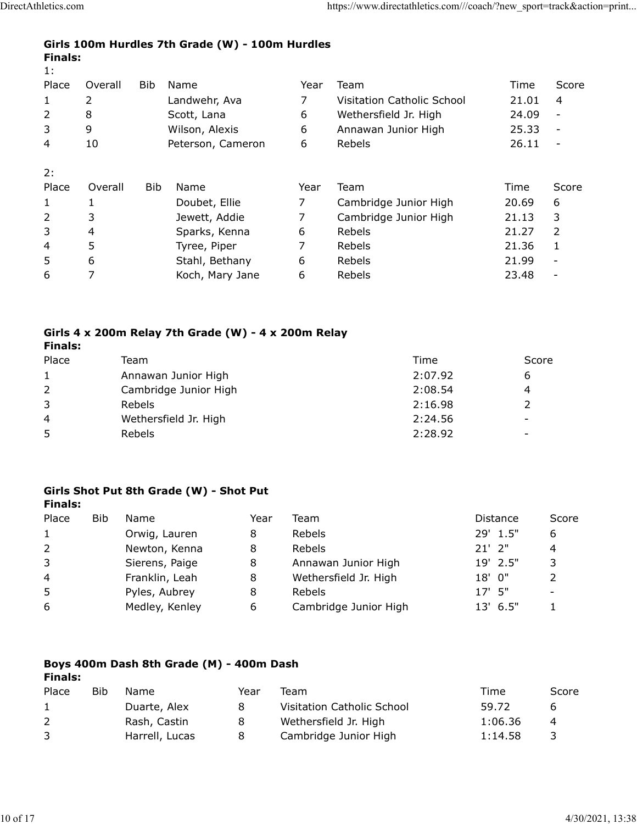| DirectAthletics.com                                               | https://www.directathletics.com///coach/?new_sport=track&action=print |
|-------------------------------------------------------------------|-----------------------------------------------------------------------|
|                                                                   |                                                                       |
| Girls 100m Hurdles 7th Grade (W) - 100m Hurdles<br><b>Finals:</b> |                                                                       |
| 1:                                                                |                                                                       |

| letics.com     |                                                                                                                              |                |                                                                                                                                                                                                                                                            |                                         |                                                                                                                                                                                                                                                                                                                     |                                                                                                                                                                                                              |
|----------------|------------------------------------------------------------------------------------------------------------------------------|----------------|------------------------------------------------------------------------------------------------------------------------------------------------------------------------------------------------------------------------------------------------------------|-----------------------------------------|---------------------------------------------------------------------------------------------------------------------------------------------------------------------------------------------------------------------------------------------------------------------------------------------------------------------|--------------------------------------------------------------------------------------------------------------------------------------------------------------------------------------------------------------|
|                |                                                                                                                              |                |                                                                                                                                                                                                                                                            |                                         |                                                                                                                                                                                                                                                                                                                     |                                                                                                                                                                                                              |
| <b>Finals:</b> |                                                                                                                              |                |                                                                                                                                                                                                                                                            |                                         |                                                                                                                                                                                                                                                                                                                     |                                                                                                                                                                                                              |
|                |                                                                                                                              |                |                                                                                                                                                                                                                                                            |                                         |                                                                                                                                                                                                                                                                                                                     |                                                                                                                                                                                                              |
|                | <b>Bib</b>                                                                                                                   |                | Year                                                                                                                                                                                                                                                       |                                         | Time                                                                                                                                                                                                                                                                                                                | Score                                                                                                                                                                                                        |
|                |                                                                                                                              | Landwehr, Ava  | 7                                                                                                                                                                                                                                                          | Visitation Catholic School              |                                                                                                                                                                                                                                                                                                                     | $\overline{4}$                                                                                                                                                                                               |
|                |                                                                                                                              |                | 6                                                                                                                                                                                                                                                          |                                         |                                                                                                                                                                                                                                                                                                                     | $\overline{\phantom{a}}$                                                                                                                                                                                     |
|                |                                                                                                                              |                |                                                                                                                                                                                                                                                            |                                         |                                                                                                                                                                                                                                                                                                                     | $\overline{\phantom{a}}$                                                                                                                                                                                     |
|                |                                                                                                                              |                |                                                                                                                                                                                                                                                            |                                         |                                                                                                                                                                                                                                                                                                                     | $\overline{\phantom{a}}$                                                                                                                                                                                     |
|                |                                                                                                                              |                |                                                                                                                                                                                                                                                            |                                         |                                                                                                                                                                                                                                                                                                                     |                                                                                                                                                                                                              |
|                |                                                                                                                              |                |                                                                                                                                                                                                                                                            |                                         |                                                                                                                                                                                                                                                                                                                     | Score                                                                                                                                                                                                        |
|                |                                                                                                                              |                | 7                                                                                                                                                                                                                                                          |                                         |                                                                                                                                                                                                                                                                                                                     | 6                                                                                                                                                                                                            |
|                |                                                                                                                              |                |                                                                                                                                                                                                                                                            |                                         |                                                                                                                                                                                                                                                                                                                     | 3                                                                                                                                                                                                            |
|                |                                                                                                                              |                |                                                                                                                                                                                                                                                            |                                         |                                                                                                                                                                                                                                                                                                                     | $\overline{2}$                                                                                                                                                                                               |
|                |                                                                                                                              |                |                                                                                                                                                                                                                                                            |                                         |                                                                                                                                                                                                                                                                                                                     | 1                                                                                                                                                                                                            |
|                |                                                                                                                              |                |                                                                                                                                                                                                                                                            |                                         |                                                                                                                                                                                                                                                                                                                     | $\overline{\phantom{a}}$                                                                                                                                                                                     |
|                |                                                                                                                              |                |                                                                                                                                                                                                                                                            |                                         |                                                                                                                                                                                                                                                                                                                     |                                                                                                                                                                                                              |
|                |                                                                                                                              |                |                                                                                                                                                                                                                                                            |                                         |                                                                                                                                                                                                                                                                                                                     |                                                                                                                                                                                                              |
|                |                                                                                                                              |                |                                                                                                                                                                                                                                                            |                                         |                                                                                                                                                                                                                                                                                                                     |                                                                                                                                                                                                              |
|                |                                                                                                                              |                |                                                                                                                                                                                                                                                            |                                         |                                                                                                                                                                                                                                                                                                                     |                                                                                                                                                                                                              |
|                |                                                                                                                              |                |                                                                                                                                                                                                                                                            |                                         |                                                                                                                                                                                                                                                                                                                     |                                                                                                                                                                                                              |
|                |                                                                                                                              |                |                                                                                                                                                                                                                                                            |                                         |                                                                                                                                                                                                                                                                                                                     |                                                                                                                                                                                                              |
|                |                                                                                                                              |                |                                                                                                                                                                                                                                                            |                                         |                                                                                                                                                                                                                                                                                                                     |                                                                                                                                                                                                              |
|                |                                                                                                                              |                |                                                                                                                                                                                                                                                            |                                         |                                                                                                                                                                                                                                                                                                                     |                                                                                                                                                                                                              |
|                | Rebels                                                                                                                       |                |                                                                                                                                                                                                                                                            | 2:24.56<br>2:28.92                      |                                                                                                                                                                                                                                                                                                                     |                                                                                                                                                                                                              |
|                | Overall<br>$\overline{2}$<br>8<br>9<br>10<br>Overall<br>$\mathbf{1}$<br>3<br>4<br>5<br>6<br>$\overline{7}$<br><b>Finals:</b> | Team<br>Rebels | Name<br>Scott, Lana<br>Wilson, Alexis<br>Peterson, Cameron<br>Bib<br>Name<br>Doubet, Ellie<br>Jewett, Addie<br>Sparks, Kenna<br>Tyree, Piper<br>Stahl, Bethany<br>Koch, Mary Jane<br>Annawan Junior High<br>Cambridge Junior High<br>Wethersfield Jr. High | 6<br>6<br>Year<br>7<br>6<br>7<br>6<br>6 | Girls 100m Hurdles 7th Grade (W) - 100m Hurdles<br>Team<br>Wethersfield Jr. High<br>Annawan Junior High<br>Rebels<br>Team<br>Cambridge Junior High<br>Cambridge Junior High<br>Rebels<br>Rebels<br>Rebels<br>Rebels<br>Girls 4 x 200m Relay 7th Grade (W) - 4 x 200m Relay<br>Time<br>2:07.92<br>2:08.54<br>2:16.98 | https://www.directathletics.com///coach/?new_sport=track&action=print<br>21.01<br>24.09<br>25.33<br>26.11<br>Time<br>20.69<br>21.13<br>21.27<br>21.36<br>21.99<br>23.48<br>Score<br>6<br>4<br>$\overline{2}$ |

### Girls 4 x 200m Relay 7th Grade (W) - 4 x 200m Relay Finals:

| 4              | 5   | Tyree, Piper                                        |      |        | Rebels                |         |             | 21.36          | $\mathbf{1}$             |  |
|----------------|-----|-----------------------------------------------------|------|--------|-----------------------|---------|-------------|----------------|--------------------------|--|
| 5              | 6   | Stahl, Bethany                                      |      | 6      | Rebels                |         | 21.99       |                | $\overline{\phantom{a}}$ |  |
| 6              | 7   | Koch, Mary Jane                                     |      | 6      | Rebels                |         |             | 23.48          | $\overline{\phantom{a}}$ |  |
|                |     |                                                     |      |        |                       |         |             |                |                          |  |
|                |     | Girls 4 x 200m Relay 7th Grade (W) - 4 x 200m Relay |      |        |                       |         |             |                |                          |  |
| <b>Finals:</b> |     |                                                     |      |        |                       |         |             |                |                          |  |
| Place          |     | Team                                                |      |        |                       | Time    |             | Score          |                          |  |
| $\mathbf{1}$   |     | Annawan Junior High                                 |      |        |                       | 2:07.92 |             | 6              |                          |  |
| $\overline{2}$ |     | Cambridge Junior High                               |      |        |                       | 2:08.54 |             | 4              |                          |  |
| 3              |     | Rebels                                              |      |        |                       | 2:16.98 |             | $\overline{2}$ |                          |  |
| 4              |     | Wethersfield Jr. High                               |      |        |                       | 2:24.56 |             |                |                          |  |
| 5              |     | Rebels                                              |      |        |                       | 2:28.92 |             |                |                          |  |
|                |     |                                                     |      |        |                       |         |             |                |                          |  |
|                |     |                                                     |      |        |                       |         |             |                |                          |  |
|                |     | Girls Shot Put 8th Grade (W) - Shot Put             |      |        |                       |         |             |                |                          |  |
| <b>Finals:</b> |     |                                                     |      |        |                       |         |             |                |                          |  |
| Place          | Bib | Name                                                | Year | Team   |                       |         | Distance    |                | Score                    |  |
| 1              |     | Orwig, Lauren                                       | 8    | Rebels |                       |         | 29' 1.5"    |                | 6                        |  |
| $\overline{2}$ |     | Newton, Kenna                                       | 8    | Rebels |                       |         | $21'$ $2"$  |                | 4                        |  |
| 3              |     | Sierens, Paige                                      | 8    |        | Annawan Junior High   |         | 19' 2.5"    |                | 3                        |  |
| 4              |     | Franklin, Leah                                      | 8    |        | Wethersfield Jr. High |         | $18'$ $0''$ |                | $\mathcal{P}$            |  |

### Girls Shot Put 8th Grade (W) - Shot Put Finals:

| 6              | $\overline{7}$ | Koch, Mary Jane                                     |      | Rebels<br>6                |         | 23.48          |                          |
|----------------|----------------|-----------------------------------------------------|------|----------------------------|---------|----------------|--------------------------|
|                |                |                                                     |      |                            |         |                | $\overline{\phantom{0}}$ |
|                |                | Girls 4 x 200m Relay 7th Grade (W) - 4 x 200m Relay |      |                            |         |                |                          |
| <b>Finals:</b> |                |                                                     |      |                            |         |                |                          |
| Place          |                | Team                                                |      |                            | Time    |                | Score                    |
| $\mathbf{1}$   |                | Annawan Junior High                                 |      |                            | 2:07.92 | 6              |                          |
| $\overline{2}$ |                | Cambridge Junior High                               |      |                            | 2:08.54 | 4              |                          |
| 3              |                | Rebels                                              |      |                            | 2:16.98 | $\overline{2}$ |                          |
| 4              |                | Wethersfield Jr. High                               |      |                            | 2:24.56 |                |                          |
| 5              |                | Rebels                                              |      |                            | 2:28.92 | $\blacksquare$ |                          |
|                |                |                                                     |      |                            |         |                |                          |
| <b>Finals:</b> |                | Girls Shot Put 8th Grade (W) - Shot Put             |      |                            |         |                |                          |
| Place          | <b>Bib</b>     | Name                                                | Year | Team                       |         | Distance       | Score                    |
| $\mathbf{1}$   |                | Orwig, Lauren                                       | 8    | Rebels                     |         | 29' 1.5"       | 6                        |
| $\overline{2}$ |                | Newton, Kenna                                       | 8    | Rebels                     |         | $21'$ $2"$     | 4                        |
| 3              |                | Sierens, Paige                                      | 8    | Annawan Junior High        |         | 19' 2.5"       | 3                        |
| 4              |                | Franklin, Leah                                      | 8    | Wethersfield Jr. High      |         | 18' 0"         | $\overline{2}$           |
| 5              |                | Pyles, Aubrey                                       | 8    | Rebels                     |         | $17'$ 5"       | $\overline{\phantom{0}}$ |
| 6              |                | Medley, Kenley                                      | 6    | Cambridge Junior High      |         | 13' 6.5"       | $\mathbf{1}$             |
|                |                | Boys 400m Dash 8th Grade (M) - 400m Dash            |      |                            |         |                |                          |
| <b>Finals:</b> |                |                                                     |      |                            |         |                |                          |
| Place          | <b>Bib</b>     | Name                                                | Year | Team                       |         | Time           | Score                    |
| $\mathbf{1}$   |                | Duarte, Alex                                        | 8    | Visitation Catholic School |         | 59.72          | 6                        |
| $\overline{2}$ |                | Rash, Castin                                        | 8    | Wethersfield Jr. High      |         | 1:06.36        | 4                        |
| 3              |                | Harrell, Lucas                                      | 8    | Cambridge Junior High      |         | 1:14.58        | 3                        |
|                |                |                                                     |      |                            |         |                |                          |

#### Boys 400m Dash 8th Grade (M) - 400m Dash Finals:

| Bib | Name           | Year | Team                       | Time    | Score |
|-----|----------------|------|----------------------------|---------|-------|
|     | Duarte, Alex   | 8    | Visitation Catholic School | 59.72   | h     |
|     | Rash, Castin   | 8    | Wethersfield Jr. High      | 1:06.36 | 4     |
|     | Harrell, Lucas | 8    | Cambridge Junior High      | 1:14.58 |       |
|     |                |      |                            |         |       |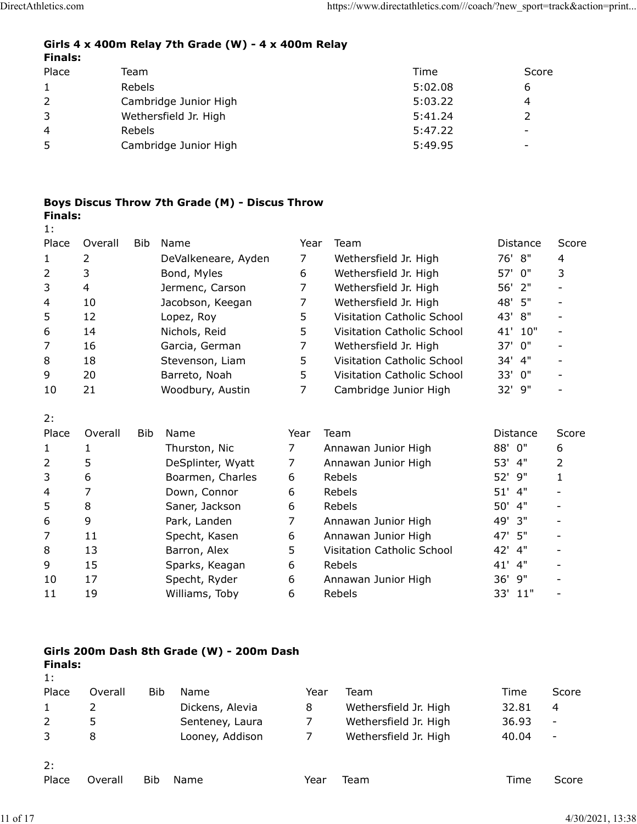#### Girls 4 x 400m Relay 7th Grade (W) - 4 x 400m Relay Finals:

| DirectAthletics.com            |                |                |                                                     |                | https://www.directathletics.com///coach/?new_sport=track&action=print |                          |                               |
|--------------------------------|----------------|----------------|-----------------------------------------------------|----------------|-----------------------------------------------------------------------|--------------------------|-------------------------------|
|                                |                |                |                                                     |                |                                                                       |                          |                               |
|                                |                |                | Girls 4 x 400m Relay 7th Grade (W) - 4 x 400m Relay |                |                                                                       |                          |                               |
| <b>Finals:</b><br>Place        |                |                |                                                     |                | Time                                                                  | Score                    |                               |
|                                |                | Team<br>Rebels |                                                     |                | 5:02.08                                                               |                          |                               |
| $\mathbf{1}$<br>$\overline{2}$ |                |                | Cambridge Junior High                               |                | 5:03.22                                                               | 6<br>4                   |                               |
| $\mathfrak{Z}$                 |                |                | Wethersfield Jr. High                               |                | 5:41.24                                                               | $\overline{2}$           |                               |
|                                |                | Rebels         |                                                     |                | 5:47.22                                                               |                          |                               |
|                                |                |                | Cambridge Junior High                               |                | 5:49.95                                                               | $\overline{\phantom{a}}$ |                               |
| 4                              |                |                |                                                     |                |                                                                       |                          |                               |
| 5                              |                |                |                                                     |                |                                                                       |                          |                               |
|                                |                |                |                                                     |                |                                                                       |                          |                               |
|                                |                |                |                                                     |                |                                                                       |                          |                               |
|                                |                |                | Boys Discus Throw 7th Grade (M) - Discus Throw      |                |                                                                       |                          |                               |
| <b>Finals:</b>                 |                |                |                                                     |                |                                                                       |                          |                               |
| 1:                             |                |                |                                                     |                |                                                                       |                          |                               |
| Place                          | Overall        |                | Bib Name                                            |                | Year Team                                                             | Distance                 | Score                         |
| $\mathbf{1}$                   | $\overline{2}$ |                | DeValkeneare, Ayden                                 | $\overline{7}$ | Wethersfield Jr. High                                                 | 76' 8"                   | 4                             |
| $\overline{2}$                 | 3              |                | Bond, Myles                                         | 6              | Wethersfield Jr. High                                                 | 57' 0"                   | 3<br>$\overline{\phantom{a}}$ |
| 3<br>4                         | 4<br>10        |                | Jermenc, Carson<br>Jacobson, Keegan                 | 7<br>7         | Wethersfield Jr. High<br>Wethersfield Jr. High                        | 56' 2"<br>48' 5"         | $\overline{\phantom{a}}$      |

## Boys Discus Throw 7th Grade (M) - Discus Throw Finals:

| letics.com     |                       |        |                                                     |                | https://www.directathletics.com///coach/?new_sport=track&action=print |                |                          |  |  |  |
|----------------|-----------------------|--------|-----------------------------------------------------|----------------|-----------------------------------------------------------------------|----------------|--------------------------|--|--|--|
| <b>Finals:</b> |                       |        | Girls 4 x 400m Relay 7th Grade (W) - 4 x 400m Relay |                |                                                                       |                |                          |  |  |  |
| Place          |                       | Team   |                                                     |                | Time                                                                  | Score          |                          |  |  |  |
| $\mathbf{1}$   |                       | Rebels |                                                     |                | 5:02.08                                                               | 6              |                          |  |  |  |
| 2              |                       |        | Cambridge Junior High                               |                | 5:03.22                                                               | 4              |                          |  |  |  |
| 3              |                       |        | Wethersfield Jr. High                               |                | 5:41.24                                                               | $\overline{2}$ |                          |  |  |  |
| 4              |                       | Rebels |                                                     |                | 5:47.22                                                               |                |                          |  |  |  |
| 5              | Cambridge Junior High |        |                                                     | 5:49.95        |                                                                       |                |                          |  |  |  |
|                |                       |        |                                                     |                |                                                                       |                |                          |  |  |  |
| <b>Finals:</b> |                       |        | Boys Discus Throw 7th Grade (M) - Discus Throw      |                |                                                                       |                |                          |  |  |  |
| 1:<br>Place    | Overall               | Bib    | Name                                                | Year           | Team                                                                  | Distance       | Score                    |  |  |  |
| $\mathbf{1}$   | $\overline{2}$        |        | DeValkeneare, Ayden                                 | $\overline{7}$ | Wethersfield Jr. High                                                 | 76' 8"         | 4                        |  |  |  |
| 2              | 3                     |        | Bond, Myles                                         | 6              | Wethersfield Jr. High                                                 | 57' 0"         | 3                        |  |  |  |
| 3              | 4                     |        | Jermenc, Carson                                     | 7              | Wethersfield Jr. High                                                 | 56'<br>2"      |                          |  |  |  |
| 4              | 10                    |        | Jacobson, Keegan                                    | 7              | Wethersfield Jr. High                                                 | 48' 5"         |                          |  |  |  |
| 5              | 12                    |        | Lopez, Roy                                          | 5              | Visitation Catholic School                                            | 43' 8"         | $\overline{\phantom{a}}$ |  |  |  |
| 6              | 14                    |        | Nichols, Reid                                       | 5              | Visitation Catholic School                                            | 41' 10"        | $\overline{\phantom{a}}$ |  |  |  |
| 7              | 16                    |        | Garcia, German                                      | 7              | Wethersfield Jr. High                                                 | 37' 0"         | $\overline{\phantom{0}}$ |  |  |  |
| 8              | 18                    |        | Stevenson, Liam                                     | 5.             | Visitation Catholic School                                            | 34' 4"         | $\overline{\phantom{a}}$ |  |  |  |
| 9              | 20                    |        | Barreto, Noah                                       | 5              | Visitation Catholic School                                            | 33' 0"         | $\overline{\phantom{a}}$ |  |  |  |
| 10             | 21                    |        | Woodbury, Austin                                    | 7              | Cambridge Junior High                                                 | 32' 9"         |                          |  |  |  |
| 2:             |                       |        |                                                     |                |                                                                       |                |                          |  |  |  |
| Place          | Overall               | Bib    | Name                                                | Year           | Team                                                                  | Distance       | Score                    |  |  |  |
| 1              |                       |        | Thurston, Nic                                       | 7              | Annawan Junior High                                                   | 88' 0"         | 6                        |  |  |  |
| 2              | 5                     |        | DeSplinter, Wyatt                                   | $\overline{7}$ | Annawan Junior High                                                   | 53' 4"         | $\overline{2}$           |  |  |  |
| 3              | 6                     |        | Boarmen, Charles                                    | 6              | Rebels                                                                | 52' 9"         | 1                        |  |  |  |
| 4              | 7                     |        | Down, Connor                                        | 6              | Rebels                                                                | 51' 4"         |                          |  |  |  |
| 5              | $\,8\,$               |        | Saner, Jackson                                      | 6              | Rebels                                                                | 50' 4"         |                          |  |  |  |
| 6              | 9                     |        | Park, Landen                                        | 7              | Annawan Junior High                                                   | 49' 3"         |                          |  |  |  |
| 7              | 11                    |        | Specht, Kasen                                       | 6              | Annawan Junior High                                                   | 47' 5"         |                          |  |  |  |
| 8              | 13                    |        | Barron, Alex                                        | 5              | Visitation Catholic School                                            | 42' 4"         |                          |  |  |  |
| 9              | 15                    |        | Sparks, Keagan                                      |                | Rebels                                                                | 41' 4"         |                          |  |  |  |

| <b>FidCe</b>         | Overdi         | <b>DIU</b> | <b>N</b> dlie                             | rear           | Tegul                      | <b>DISCATICE</b> | <b>SCOLE</b>             |
|----------------------|----------------|------------|-------------------------------------------|----------------|----------------------------|------------------|--------------------------|
| 1                    | 2              |            | DeValkeneare, Ayden                       | $\overline{7}$ | Wethersfield Jr. High      | 76' 8"           | 4                        |
| 2                    | 3              |            | Bond, Myles                               | 6              | Wethersfield Jr. High      | 57'<br>0"        | 3                        |
| 3                    | 4              |            | Jermenc, Carson                           | 7              | Wethersfield Jr. High      | 56' 2"           |                          |
| 4                    | 10             |            | Jacobson, Keegan                          | 7              | Wethersfield Jr. High      | 5"<br>48'        | $\blacksquare$           |
| 5                    | 12             |            | Lopez, Roy                                | 5              | Visitation Catholic School | 43'<br>8"        |                          |
| 6                    | 14             |            | Nichols, Reid                             | 5              | Visitation Catholic School | 41' 10"          | $\overline{\phantom{a}}$ |
| 7                    | 16             |            | Garcia, German                            | 7              | Wethersfield Jr. High      | 0"<br>37'        | $\overline{\phantom{0}}$ |
| 8                    | 18             |            | Stevenson, Liam                           | 5              | Visitation Catholic School | 34'<br>4"        |                          |
| 9                    | 20             |            | Barreto, Noah                             | 5              | Visitation Catholic School | 33' 0"           |                          |
| 10                   | 21             |            | Woodbury, Austin                          | $\overline{7}$ | Cambridge Junior High      | 32' 9"           |                          |
| 2:                   |                |            |                                           |                |                            |                  |                          |
| Place                | Overall        | Bib        | Name                                      | Year           | Team                       | Distance         | Score                    |
| $\mathbf{1}$         | $\mathbf{1}$   |            | Thurston, Nic                             | 7              | Annawan Junior High        | 88' 0"           | 6                        |
| 2                    | 5              |            | DeSplinter, Wyatt                         | 7              | Annawan Junior High        | 53' 4"           | 2                        |
| 3                    | 6              |            | Boarmen, Charles                          | 6              | Rebels                     | 52' 9"           | $\mathbf{1}$             |
| 4                    | $\overline{7}$ |            | Down, Connor                              | 6              | Rebels                     | $51'$ 4"         |                          |
| 5                    | $\,8\,$        |            | Saner, Jackson                            | 6              | Rebels                     | 50' 4"           |                          |
| 6                    | 9              |            | Park, Landen                              | $\overline{7}$ | Annawan Junior High        | 49' 3"           | $\overline{\phantom{a}}$ |
| $\overline{7}$       | 11             |            | Specht, Kasen                             | 6              | Annawan Junior High        | 47' 5"           |                          |
| 8                    | 13             |            | Barron, Alex                              | 5              | Visitation Catholic School | 42' 4"           |                          |
| 9                    | 15             |            | Sparks, Keagan                            | 6              | Rebels                     | 41' 4"           | $\overline{\phantom{a}}$ |
| 10                   | 17             |            | Specht, Ryder                             | 6              | Annawan Junior High        | 36' 9"           |                          |
| 11                   | 19             |            | Williams, Toby                            | 6              | Rebels                     | 33' 11"          |                          |
|                      |                |            |                                           |                |                            |                  |                          |
|                      |                |            | Girls 200m Dash 8th Grade (W) - 200m Dash |                |                            |                  |                          |
| <b>Finals:</b><br>1: |                |            |                                           |                |                            |                  |                          |
| Place                | Overall        |            | Bib<br>Name                               | Year           | Team                       | Time             | Score                    |
|                      | 2              |            | Dickens, Alevia                           | 8              | Wethersfield Jr. High      | 32.81            | 4                        |
| $\overline{c}$       | 5              |            | Senteney, Laura                           | 7              | Wethersfield Jr. High      | 36.93            | $\overline{\phantom{a}}$ |
| 3                    | 8              |            | Looney, Addison                           | $\overline{7}$ | Wethersfield Jr. High      | 40.04            |                          |
| 2:                   |                |            |                                           |                |                            |                  |                          |
| Place                | Overall        | Bib        | Name                                      | Year           | Team                       | Time             | Score                    |
|                      |                |            |                                           |                |                            |                  |                          |

## Girls 200m Dash 8th Grade (W) - 200m Dash

| 5                    | 8              |            | Saner, Jackson                            | 6              | Rebels                     | 50'<br>$-4"$ | $\overline{\phantom{a}}$ |
|----------------------|----------------|------------|-------------------------------------------|----------------|----------------------------|--------------|--------------------------|
| 6                    | 9              |            | Park, Landen                              | 7              | Annawan Junior High        | 3"<br>49'    | $\overline{\phantom{a}}$ |
| $\overline{7}$       | 11             |            | Specht, Kasen                             | 6              | Annawan Junior High        | 47' 5"       | $\overline{\phantom{a}}$ |
| 8                    | 13             |            | Barron, Alex                              | 5              | Visitation Catholic School | 42' 4"       | $\blacksquare$           |
| 9                    | 15             |            | Sparks, Keagan                            | 6              | Rebels                     | 41' 4"       | $\overline{\phantom{a}}$ |
| 10                   | 17             |            | Specht, Ryder                             | 6              | Annawan Junior High        | 36' 9"       | $\overline{\phantom{a}}$ |
| 11                   | 19             |            | Williams, Toby                            | 6              | Rebels                     | 33' 11"      | $\blacksquare$           |
|                      |                |            |                                           |                |                            |              |                          |
|                      |                |            |                                           |                |                            |              |                          |
| <b>Finals:</b><br>1: |                |            | Girls 200m Dash 8th Grade (W) - 200m Dash |                |                            |              |                          |
| Place                | Overall        | <b>Bib</b> | Name                                      | Year           | Team                       | Time         | Score                    |
| $\mathbf{1}$         | $\overline{2}$ |            | Dickens, Alevia                           | 8              | Wethersfield Jr. High      | 32.81        | 4                        |
| $\overline{2}$       | 5              |            | Senteney, Laura                           | $\overline{7}$ | Wethersfield Jr. High      | 36.93        | $\overline{\phantom{a}}$ |
| 3                    | 8              |            | Looney, Addison                           | 7              | Wethersfield Jr. High      | 40.04        | $\overline{\phantom{a}}$ |
| 2:                   |                |            |                                           |                |                            |              |                          |
| Place                | Overall        | Bib        | Name                                      | Year           | Team                       | Time         | Score                    |
|                      |                |            |                                           |                |                            |              |                          |
|                      |                |            |                                           |                |                            |              | 4/30/2021, 13:38         |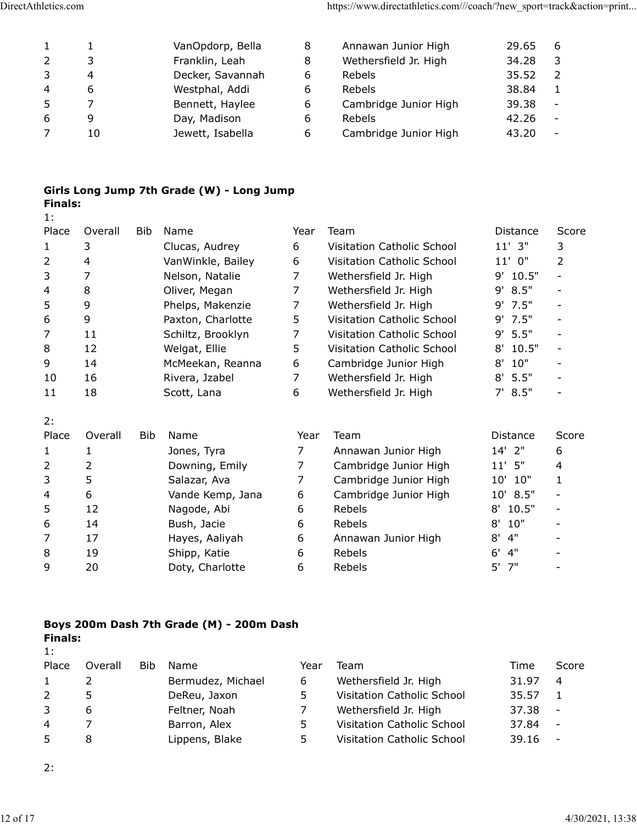| DirectAthletics.com     |                |                                           |                | https://www.directathletics.com///coach/?new_sport=track&action=print |                      |                          |
|-------------------------|----------------|-------------------------------------------|----------------|-----------------------------------------------------------------------|----------------------|--------------------------|
|                         |                |                                           |                |                                                                       |                      |                          |
|                         |                |                                           |                |                                                                       |                      |                          |
| $\mathbf{1}$            | $\mathbf{1}$   | VanOpdorp, Bella                          | 8              | Annawan Junior High                                                   | 29.65                | 6                        |
| $\mathbf{2}$            | 3              | Franklin, Leah                            | 8              | Wethersfield Jr. High                                                 | 34.28                | 3                        |
| $\mathsf{3}$            | 4              | Decker, Savannah                          | 6              | Rebels                                                                | 35.52                | $\overline{2}$           |
| $\overline{\mathbf{4}}$ | 6              | Westphal, Addi                            | 6              | Rebels                                                                | 38.84                | $\mathbf{1}$             |
| 5                       | $\overline{7}$ | Bennett, Haylee                           | 6              | Cambridge Junior High                                                 | 39.38                | $\blacksquare$           |
| $\,$ 6 $\,$             | 9              | Day, Madison                              | 6              | Rebels                                                                | 42.26                | $\blacksquare$           |
| $\overline{7}$          | 10             | Jewett, Isabella                          | 6              | Cambridge Junior High                                                 | 43.20                | $\overline{\phantom{a}}$ |
| <b>Finals:</b>          |                | Girls Long Jump 7th Grade (W) - Long Jump |                |                                                                       |                      |                          |
| 1:                      |                |                                           |                |                                                                       |                      |                          |
| Place                   | Overall<br>Bib | Name                                      | Year           | Team                                                                  | Distance             | Score                    |
| 1                       | $\mathsf 3$    | Clucas, Audrey                            | 6              | Visitation Catholic School                                            | $11'$ 3"             | $\mathsf{3}$             |
| 2                       | 4              | VanWinkle, Bailey                         | 6              | Visitation Catholic School                                            | $11'$ 0"             | 2                        |
| 3                       | 7              | Nelson, Natalie                           | $\overline{7}$ | Wethersfield Jr. High                                                 | 9' 10.5"             |                          |
|                         | 8              | Oliver, Megan<br>Phelps, Makenzie         | $\overline{7}$ | Wethersfield Jr. High<br>Wethersfield Jr. High                        | 9' 8.5"<br>$9'$ 7.5" | $\overline{\phantom{a}}$ |

## Girls Long Jump 7th Grade (W) - Long Jump Finals:

| letics.com           |                |     |                                           |                | https://www.directathletics.com///coach/?new sport=track&action=print |            |                          |
|----------------------|----------------|-----|-------------------------------------------|----------------|-----------------------------------------------------------------------|------------|--------------------------|
| $\mathbf{1}$         | $\mathbf{1}$   |     | VanOpdorp, Bella                          | 8              | Annawan Junior High                                                   | 29.65      | 6                        |
| $\overline{2}$       | 3              |     | Franklin, Leah                            | 8              | Wethersfield Jr. High                                                 | 34.28      | 3                        |
| 3                    | 4              |     | Decker, Savannah                          | 6              | Rebels                                                                | 35.52      | 2                        |
| 4                    | 6              |     | Westphal, Addi                            | 6              | Rebels                                                                | 38.84      | $\mathbf{1}$             |
| 5                    | $\overline{7}$ |     | Bennett, Haylee                           | 6              | Cambridge Junior High                                                 | 39.38      | $\overline{\phantom{a}}$ |
| 6                    | 9              |     | Day, Madison                              | 6              | Rebels                                                                | 42.26      | $\overline{\phantom{a}}$ |
| 7                    | 10             |     | Jewett, Isabella                          | 6              | Cambridge Junior High                                                 | 43.20      | $\overline{\phantom{a}}$ |
| <b>Finals:</b><br>1: |                |     | Girls Long Jump 7th Grade (W) - Long Jump |                |                                                                       |            |                          |
| Place                | Overall        | Bib | Name                                      | Year           | Team                                                                  | Distance   | Score                    |
| $\mathbf{1}$         | 3              |     | Clucas, Audrey                            | 6              | Visitation Catholic School                                            | $11'$ $3"$ | 3                        |
| $\overline{a}$       | 4              |     | VanWinkle, Bailey                         | 6              | Visitation Catholic School                                            | $11'$ 0"   | 2                        |
| 3                    | 7              |     | Nelson, Natalie                           | 7              | Wethersfield Jr. High                                                 | 9' 10.5"   | $\overline{\phantom{a}}$ |
| 4                    | 8              |     | Oliver, Megan                             | 7              | Wethersfield Jr. High                                                 | 9' 8.5"    | $\overline{\phantom{a}}$ |
| 5                    | 9              |     | Phelps, Makenzie                          | 7              | Wethersfield Jr. High                                                 | 9' 7.5"    | $\overline{\phantom{a}}$ |
| 6                    | 9              |     | Paxton, Charlotte                         | 5              | Visitation Catholic School                                            | $9'$ 7.5"  | $\overline{\phantom{a}}$ |
| $\overline{7}$       | 11             |     | Schiltz, Brooklyn                         | 7              | Visitation Catholic School                                            | $9'$ 5.5"  | $\overline{\phantom{a}}$ |
|                      | 12             |     |                                           | 5              | Visitation Catholic School                                            | 8' 10.5"   | $\overline{\phantom{a}}$ |
| 8                    |                |     | Welgat, Ellie                             |                |                                                                       |            |                          |
| 9                    | 14             |     | McMeekan, Reanna                          | 6              | Cambridge Junior High                                                 | 10"<br>8'  | $\overline{\phantom{a}}$ |
| 10                   | 16             |     | Rivera, Jzabel                            | 7              | Wethersfield Jr. High                                                 | 5.5"<br>8' | $\overline{\phantom{a}}$ |
| 11                   | 18             |     | Scott, Lana                               | 6              | Wethersfield Jr. High                                                 | 7' 8.5''   | $\overline{\phantom{0}}$ |
| 2:                   |                |     |                                           |                |                                                                       |            |                          |
| Place                | Overall        | Bib | Name                                      | Year           | Team                                                                  | Distance   | Score                    |
| $\mathbf{1}$         | $\mathbf{1}$   |     | Jones, Tyra                               | 7 <sup>7</sup> | Annawan Junior High                                                   | $14'$ 2"   | 6                        |
| $\overline{2}$       | $\overline{2}$ |     | Downing, Emily                            | 7              | Cambridge Junior High                                                 | $11'$ 5"   | 4                        |
| 3                    | 5              |     | Salazar, Ava                              | 7              | Cambridge Junior High                                                 | 10' 10"    | $\mathbf{1}$             |
| 4                    | 6              |     | Vande Kemp, Jana                          | 6              | Cambridge Junior High                                                 | 10' 8.5"   |                          |
| 5                    | 12             |     | Nagode, Abi                               | 6              | Rebels                                                                | $8'$ 10.5" | $\overline{\phantom{a}}$ |
| 6                    | 14             |     | Bush, Jacie                               | 6              | Rebels                                                                | 10"<br>8'  | $\overline{\phantom{a}}$ |
| 7                    | 17             |     | Hayes, Aaliyah                            | 6              | Annawan Junior High                                                   | 4"<br>8'   |                          |
| 8                    | 19             |     | Shipp, Katie                              | 6              | Rebels                                                                | 6'<br>4"   |                          |
| 9                    | 20             |     | Doty, Charlotte                           | 6              | Rebels                                                                | 5'<br>7"   |                          |
|                      |                |     |                                           |                |                                                                       |            |                          |

| 11             | 18             |            | Scott, Lana                              | 6    | Wethersfield Jr. High      | 7' 8.5''    | $\overline{\phantom{a}}$ |
|----------------|----------------|------------|------------------------------------------|------|----------------------------|-------------|--------------------------|
| 2:             |                |            |                                          |      |                            |             |                          |
| Place          | Overall        | <b>Bib</b> | Name                                     | Year | Team                       | Distance    | Score                    |
| $\mathbf{1}$   | 1              |            | Jones, Tyra                              | 7    | Annawan Junior High        | 14' 2"      | 6                        |
| $\overline{2}$ | $\overline{2}$ |            | Downing, Emily                           | 7    | Cambridge Junior High      | $11'$ $5"$  | 4                        |
| $\mathsf{3}$   | 5              |            | Salazar, Ava                             | 7    | Cambridge Junior High      | 10'<br>10"  | $\mathbf{1}$             |
| 4              | 6              |            | Vande Kemp, Jana                         | 6    | Cambridge Junior High      | 8.5"<br>10' | $\blacksquare$           |
| 5              | 12             |            | Nagode, Abi                              | 6    | Rebels                     | 10.5"<br>8' | $\overline{\phantom{a}}$ |
| 6              | 14             |            | Bush, Jacie                              | 6    | Rebels                     | 10"<br>8'   | $\overline{\phantom{a}}$ |
| 7              | 17             |            | Hayes, Aaliyah                           | 6    | Annawan Junior High        | 4"<br>8'    | $\overline{\phantom{a}}$ |
| 8              | 19             |            | Shipp, Katie                             | 6    | Rebels                     | 4"<br>6'    |                          |
| 9              | 20             |            | Doty, Charlotte                          | 6    | Rebels                     | 5'<br>7"    | $\overline{\phantom{a}}$ |
| <b>Finals:</b> |                |            | Boys 200m Dash 7th Grade (M) - 200m Dash |      |                            |             |                          |
| 1:<br>Place    | Overall        | <b>Bib</b> | Name                                     | Year | Team                       | Time        | Score                    |
| $\mathbf{1}$   | $\overline{2}$ |            | Bermudez, Michael                        | 6    | Wethersfield Jr. High      | 31.97       | $\overline{4}$           |
| $\overline{2}$ | 5              |            | DeReu, Jaxon                             | 5    | Visitation Catholic School | 35.57       | $\mathbf{1}$             |
| $\overline{3}$ | 6              |            | Feltner, Noah                            | 7    | Wethersfield Jr. High      | 37.38       | $\overline{a}$           |
| 4              | 7              |            | Barron, Alex                             | 5    | Visitation Catholic School | 37.84       | $\overline{\phantom{a}}$ |
| 5              | 8              |            | Lippens, Blake                           | 5    | Visitation Catholic School | 39.16       | $\overline{\phantom{0}}$ |
|                |                |            |                                          |      |                            |             |                          |
| 2:             |                |            |                                          |      |                            |             |                          |
|                |                |            |                                          |      |                            |             |                          |
|                |                |            |                                          |      |                            |             |                          |

## Boys 200m Dash 7th Grade (M) - 200m Dash Finals:

| 1:    |         |            |                   |      |                            |       |                          |
|-------|---------|------------|-------------------|------|----------------------------|-------|--------------------------|
| Place | Overall | <b>Bib</b> | Name              | Year | Team                       | Time  | Score                    |
|       |         |            | Bermudez, Michael | 6    | Wethersfield Jr. High      | 31.97 | -4                       |
| 2     | 5       |            | DeReu, Jaxon      | 5.   | Visitation Catholic School | 35.57 |                          |
| 3     | 6       |            | Feltner, Noah     |      | Wethersfield Jr. High      | 37.38 | $\overline{\phantom{a}}$ |
| 4     |         |            | Barron, Alex      | 5.   | Visitation Catholic School | 37.84 | $\overline{\phantom{a}}$ |
| 5     | 8       |            | Lippens, Blake    | 5.   | Visitation Catholic School | 39.16 |                          |
|       |         |            |                   |      |                            |       |                          |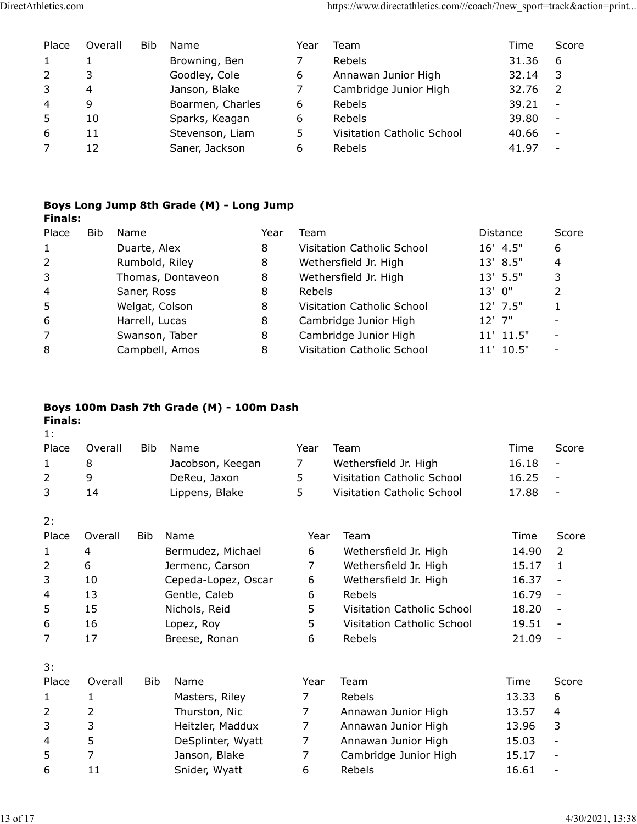| DirectAthletics.com |                |                |                                  |                                          |              |                | https://www.directathletics.com///coach/?new_sport=track&action=print |                    |                          |
|---------------------|----------------|----------------|----------------------------------|------------------------------------------|--------------|----------------|-----------------------------------------------------------------------|--------------------|--------------------------|
|                     |                |                |                                  |                                          |              |                |                                                                       |                    |                          |
|                     |                |                |                                  |                                          |              |                |                                                                       |                    |                          |
| Place               |                | Overall        | Bib                              | Name                                     |              | Year           | Team                                                                  | Time               | Score                    |
| 1                   |                | $\mathbf{1}$   |                                  | Browning, Ben                            |              | 7              | Rebels                                                                | 31.36              | 6                        |
|                     |                |                |                                  |                                          |              |                | Annawan Junior High                                                   |                    |                          |
| $\overline{2}$      |                | 3              |                                  | Goodley, Cole                            |              | 6              |                                                                       | 32.14              | 3                        |
| 3                   |                | $\overline{a}$ |                                  | Janson, Blake                            |              | $\overline{7}$ | Cambridge Junior High                                                 | 32.76              | $\overline{2}$           |
| 4                   |                | 9              |                                  | Boarmen, Charles                         |              | 6              | Rebels                                                                | 39.21              | $\overline{\phantom{a}}$ |
| 5                   |                | 10             |                                  | Sparks, Keagan                           |              | 6              | Rebels                                                                | 39.80              | $\sim$                   |
| 6                   |                | 11             |                                  | Stevenson, Liam                          |              | 5              | Visitation Catholic School                                            | 40.66              | $\overline{a}$           |
| $\overline{7}$      |                | 12             |                                  | Saner, Jackson                           |              | 6              | Rebels                                                                | 41.97              | $\overline{a}$           |
|                     |                |                |                                  |                                          |              |                |                                                                       |                    |                          |
|                     |                |                |                                  |                                          |              |                |                                                                       |                    |                          |
|                     |                |                |                                  |                                          |              |                |                                                                       |                    |                          |
|                     | <b>Finals:</b> |                |                                  | Boys Long Jump 8th Grade (M) - Long Jump |              |                |                                                                       |                    |                          |
| Place               |                | Bib            | Name                             |                                          | Year         | Team           |                                                                       | Distance           | Score                    |
| $\mathbf{1}$        |                |                |                                  |                                          |              |                |                                                                       |                    |                          |
|                     |                |                | Duarte, Alex                     |                                          | 8            |                | Visitation Catholic School                                            | 16' 4.5"           | 6                        |
| $\overline{2}$      |                |                | Rumbold, Riley                   |                                          | 8            |                | Wethersfield Jr. High                                                 | 13' 8.5"           | 4                        |
| 3<br>4              |                |                |                                  | Thomas, Dontaveon                        | 8            |                | Wethersfield Jr. High                                                 | 13' 5.5"           | 3                        |
|                     |                |                | Saner, Ross                      |                                          | 8            | Rebels         |                                                                       | 13' 0"             | $\overline{2}$           |
| 5<br>6              |                |                | Welgat, Colson<br>Harrell, Lucas |                                          | 8<br>$\,8\,$ |                | Visitation Catholic School<br>Cambridge Junior High                   | 12' 7.5"<br>12' 7" | $\mathbf{1}$             |

## Boys Long Jump 8th Grade (M) - Long Jump Finals:

| Place                   | Overall      | Bib                    | Name                                     |      | Year                       | Team                       | Time      | Score                    |
|-------------------------|--------------|------------------------|------------------------------------------|------|----------------------------|----------------------------|-----------|--------------------------|
| 1                       | $\mathbf{1}$ |                        | Browning, Ben                            |      | $\overline{7}$             | Rebels                     | 31.36     | 6                        |
| 2                       | 3            |                        | Goodley, Cole                            |      | 6                          | Annawan Junior High        | 32.14     | 3                        |
| 3                       | 4            |                        | Janson, Blake                            |      | $\overline{7}$             | Cambridge Junior High      | 32.76     | $\overline{2}$           |
| 4                       | 9            |                        | Boarmen, Charles                         |      | 6                          | Rebels                     | 39.21     | $\sim$                   |
| 5                       | 10           |                        | Sparks, Keagan                           |      | 6                          | Rebels                     | 39.80     | $\blacksquare$           |
| 6                       | 11           |                        | Stevenson, Liam                          |      | 5                          | Visitation Catholic School | 40.66     | $\overline{\phantom{a}}$ |
| $\overline{7}$          | 12           |                        | Saner, Jackson                           |      | 6                          | Rebels                     | 41.97     | $\overline{a}$           |
|                         |              |                        | Boys Long Jump 8th Grade (M) - Long Jump |      |                            |                            |           |                          |
| <b>Finals:</b><br>Place | <b>Bib</b>   | Name                   |                                          | Year | Team                       |                            | Distance  | Score                    |
| 1                       |              | Duarte, Alex           |                                          | 8    |                            | Visitation Catholic School | 16' 4.5"  | 6                        |
| $\overline{2}$          |              | Rumbold, Riley         |                                          | 8    |                            | Wethersfield Jr. High      | 13' 8.5"  | $\overline{4}$           |
| 3                       |              | Thomas, Dontaveon<br>8 |                                          |      |                            | Wethersfield Jr. High      | 13' 5.5"  | 3                        |
| 4                       |              | Saner, Ross            |                                          | 8    | Rebels                     |                            | 13' 0"    | $\overline{2}$           |
| 5                       |              | Welgat, Colson         |                                          | 8    | Visitation Catholic School |                            | 12' 7.5"  | $\mathbf{1}$             |
| 6                       |              | Harrell, Lucas         |                                          | 8    | Cambridge Junior High      |                            | 12' 7"    |                          |
| 7                       |              |                        | Swanson, Taber                           | 8    | Cambridge Junior High      |                            | 11' 11.5" | $\sim$                   |
| 8                       |              |                        | Campbell, Amos                           | 8    |                            | Visitation Catholic School | 11' 10.5" | $\overline{\phantom{a}}$ |
|                         |              |                        |                                          |      |                            |                            |           |                          |
| <b>Finals:</b><br>1:    |              |                        | Boys 100m Dash 7th Grade (M) - 100m Dash |      |                            |                            |           |                          |
| Place                   | Overall      | Bib.                   | Name                                     |      | Year                       | Team                       | Time      | Score                    |
| 1                       | 8            |                        | Jacobson, Keegan                         |      | $\overline{7}$             | Wethersfield Jr. High      | 16.18     | $\blacksquare$           |
| $\overline{2}$          | 9            |                        | DeReu, Jaxon                             |      | 5                          | Visitation Catholic School | 16.25     | $\overline{\phantom{a}}$ |
| 3                       | 14           |                        | Lippens, Blake                           |      | 5                          | Visitation Catholic School | 17.88     | $\overline{a}$           |
| 2:                      |              |                        |                                          |      |                            |                            |           |                          |
| Place                   | Overall      | Bib                    | Name                                     |      | Year                       | Team                       | Time      | Score                    |

## Boys 100m Dash 7th Grade (M) - 100m Dash

| Bib<br>Name<br>Team<br>Distance<br>Score<br>Place<br>Year<br>16' 4.5"<br>Duarte, Alex<br>8<br>Visitation Catholic School<br>6<br>$\mathbf{1}$<br>Rumbold, Riley<br>Wethersfield Jr. High<br>8<br>13' 8.5"<br>4<br>2<br>3<br>8<br>13' 5.5"<br>3<br>Thomas, Dontaveon<br>Wethersfield Jr. High<br>8<br>13' 0"<br>2<br>Saner, Ross<br>Rebels<br>4<br>5<br>Welgat, Colson<br>8<br>Visitation Catholic School<br>12' 7.5"<br>1<br>6<br>8<br>12' 7"<br>Harrell, Lucas<br>Cambridge Junior High<br>7<br>8<br>Cambridge Junior High<br>11' 11.5"<br>Swanson, Taber<br>11' 10.5"<br>Campbell, Amos<br>8<br>Visitation Catholic School<br>8<br>Boys 100m Dash 7th Grade (M) - 100m Dash<br><b>Finals:</b><br>1:<br>Overall<br>Bib<br>Team<br>Score<br>Place<br>Name<br>Year<br>Time<br>8<br>16.18<br>Jacobson, Keegan<br>$\overline{7}$<br>Wethersfield Jr. High<br>$\mathbf{1}$<br>$\overline{\phantom{a}}$<br>9<br>Visitation Catholic School<br>16.25<br>DeReu, Jaxon<br>5<br>2<br>$\overline{\phantom{a}}$<br>3<br>14<br>5<br>17.88<br>Lippens, Blake<br>Visitation Catholic School<br>$\overline{\phantom{a}}$<br>2:<br>Overall<br><b>Bib</b><br>Name<br>Team<br>Score<br>Place<br>Year<br>Time<br>6<br>14.90<br>$\overline{2}$<br>Bermudez, Michael<br>Wethersfield Jr. High<br>4<br>$\mathbf{1}$<br>6<br>Wethersfield Jr. High<br>15.17<br>$\overline{2}$<br>Jermenc, Carson<br>7<br>$\mathbf{1}$<br>3<br>Wethersfield Jr. High<br>16.37<br>10<br>Cepeda-Lopez, Oscar<br>6<br>$\overline{\phantom{a}}$<br>13<br>16.79<br>4<br>Gentle, Caleb<br>6<br>Rebels<br>$\overline{\phantom{a}}$<br>5<br>5<br>15<br>18.20<br>Nichols, Reid<br>Visitation Catholic School<br>$\overline{\phantom{a}}$<br>5<br>Visitation Catholic School<br>19.51<br>6<br>16<br>Lopez, Roy<br>$\overline{\phantom{m}}$<br>$\overline{7}$<br>17<br>6<br>21.09<br>Breese, Ronan<br>Rebels<br>$\overline{\phantom{a}}$<br>3:<br>Bib Name<br>Year Team<br>Time<br>Score<br>Overall<br>13.33<br>6<br>$\mathbf{1}$<br>Masters, Riley<br>Rebels<br>$\mathbf{1}$<br>7<br>$\overline{2}$<br>$\overline{2}$<br>Thurston, Nic<br>Annawan Junior High<br>13.57<br>$\overline{4}$<br>7<br>3<br>3<br>Heitzler, Maddux<br>Annawan Junior High<br>13.96<br>3<br>7<br>Annawan Junior High<br>5<br>DeSplinter, Wyatt<br>15.03<br>4<br>7<br>5<br>$\overline{7}$<br>Cambridge Junior High<br>Janson, Blake<br>15.17<br>7<br>$\overline{\phantom{a}}$<br>11<br>Snider, Wyatt<br>Rebels<br>16.61<br>6<br>6<br>$\overline{\phantom{a}}$ | <b>Finals:</b> |  |  |  |  |  |
|------------------------------------------------------------------------------------------------------------------------------------------------------------------------------------------------------------------------------------------------------------------------------------------------------------------------------------------------------------------------------------------------------------------------------------------------------------------------------------------------------------------------------------------------------------------------------------------------------------------------------------------------------------------------------------------------------------------------------------------------------------------------------------------------------------------------------------------------------------------------------------------------------------------------------------------------------------------------------------------------------------------------------------------------------------------------------------------------------------------------------------------------------------------------------------------------------------------------------------------------------------------------------------------------------------------------------------------------------------------------------------------------------------------------------------------------------------------------------------------------------------------------------------------------------------------------------------------------------------------------------------------------------------------------------------------------------------------------------------------------------------------------------------------------------------------------------------------------------------------------------------------------------------------------------------------------------------------------------------------------------------------------------------------------------------------------------------------------------------------------------------------------------------------------------------------------------------------------------------------------------------------------------------------------------------------------------------------------------------------------------------------------------------------------------------------------------------------------------------|----------------|--|--|--|--|--|
| Place                                                                                                                                                                                                                                                                                                                                                                                                                                                                                                                                                                                                                                                                                                                                                                                                                                                                                                                                                                                                                                                                                                                                                                                                                                                                                                                                                                                                                                                                                                                                                                                                                                                                                                                                                                                                                                                                                                                                                                                                                                                                                                                                                                                                                                                                                                                                                                                                                                                                              |                |  |  |  |  |  |
|                                                                                                                                                                                                                                                                                                                                                                                                                                                                                                                                                                                                                                                                                                                                                                                                                                                                                                                                                                                                                                                                                                                                                                                                                                                                                                                                                                                                                                                                                                                                                                                                                                                                                                                                                                                                                                                                                                                                                                                                                                                                                                                                                                                                                                                                                                                                                                                                                                                                                    |                |  |  |  |  |  |
|                                                                                                                                                                                                                                                                                                                                                                                                                                                                                                                                                                                                                                                                                                                                                                                                                                                                                                                                                                                                                                                                                                                                                                                                                                                                                                                                                                                                                                                                                                                                                                                                                                                                                                                                                                                                                                                                                                                                                                                                                                                                                                                                                                                                                                                                                                                                                                                                                                                                                    |                |  |  |  |  |  |
|                                                                                                                                                                                                                                                                                                                                                                                                                                                                                                                                                                                                                                                                                                                                                                                                                                                                                                                                                                                                                                                                                                                                                                                                                                                                                                                                                                                                                                                                                                                                                                                                                                                                                                                                                                                                                                                                                                                                                                                                                                                                                                                                                                                                                                                                                                                                                                                                                                                                                    |                |  |  |  |  |  |
|                                                                                                                                                                                                                                                                                                                                                                                                                                                                                                                                                                                                                                                                                                                                                                                                                                                                                                                                                                                                                                                                                                                                                                                                                                                                                                                                                                                                                                                                                                                                                                                                                                                                                                                                                                                                                                                                                                                                                                                                                                                                                                                                                                                                                                                                                                                                                                                                                                                                                    |                |  |  |  |  |  |
|                                                                                                                                                                                                                                                                                                                                                                                                                                                                                                                                                                                                                                                                                                                                                                                                                                                                                                                                                                                                                                                                                                                                                                                                                                                                                                                                                                                                                                                                                                                                                                                                                                                                                                                                                                                                                                                                                                                                                                                                                                                                                                                                                                                                                                                                                                                                                                                                                                                                                    |                |  |  |  |  |  |
|                                                                                                                                                                                                                                                                                                                                                                                                                                                                                                                                                                                                                                                                                                                                                                                                                                                                                                                                                                                                                                                                                                                                                                                                                                                                                                                                                                                                                                                                                                                                                                                                                                                                                                                                                                                                                                                                                                                                                                                                                                                                                                                                                                                                                                                                                                                                                                                                                                                                                    |                |  |  |  |  |  |
|                                                                                                                                                                                                                                                                                                                                                                                                                                                                                                                                                                                                                                                                                                                                                                                                                                                                                                                                                                                                                                                                                                                                                                                                                                                                                                                                                                                                                                                                                                                                                                                                                                                                                                                                                                                                                                                                                                                                                                                                                                                                                                                                                                                                                                                                                                                                                                                                                                                                                    |                |  |  |  |  |  |
|                                                                                                                                                                                                                                                                                                                                                                                                                                                                                                                                                                                                                                                                                                                                                                                                                                                                                                                                                                                                                                                                                                                                                                                                                                                                                                                                                                                                                                                                                                                                                                                                                                                                                                                                                                                                                                                                                                                                                                                                                                                                                                                                                                                                                                                                                                                                                                                                                                                                                    |                |  |  |  |  |  |
| 4/30/2021, 13:38                                                                                                                                                                                                                                                                                                                                                                                                                                                                                                                                                                                                                                                                                                                                                                                                                                                                                                                                                                                                                                                                                                                                                                                                                                                                                                                                                                                                                                                                                                                                                                                                                                                                                                                                                                                                                                                                                                                                                                                                                                                                                                                                                                                                                                                                                                                                                                                                                                                                   |                |  |  |  |  |  |
|                                                                                                                                                                                                                                                                                                                                                                                                                                                                                                                                                                                                                                                                                                                                                                                                                                                                                                                                                                                                                                                                                                                                                                                                                                                                                                                                                                                                                                                                                                                                                                                                                                                                                                                                                                                                                                                                                                                                                                                                                                                                                                                                                                                                                                                                                                                                                                                                                                                                                    |                |  |  |  |  |  |
|                                                                                                                                                                                                                                                                                                                                                                                                                                                                                                                                                                                                                                                                                                                                                                                                                                                                                                                                                                                                                                                                                                                                                                                                                                                                                                                                                                                                                                                                                                                                                                                                                                                                                                                                                                                                                                                                                                                                                                                                                                                                                                                                                                                                                                                                                                                                                                                                                                                                                    |                |  |  |  |  |  |
|                                                                                                                                                                                                                                                                                                                                                                                                                                                                                                                                                                                                                                                                                                                                                                                                                                                                                                                                                                                                                                                                                                                                                                                                                                                                                                                                                                                                                                                                                                                                                                                                                                                                                                                                                                                                                                                                                                                                                                                                                                                                                                                                                                                                                                                                                                                                                                                                                                                                                    |                |  |  |  |  |  |
|                                                                                                                                                                                                                                                                                                                                                                                                                                                                                                                                                                                                                                                                                                                                                                                                                                                                                                                                                                                                                                                                                                                                                                                                                                                                                                                                                                                                                                                                                                                                                                                                                                                                                                                                                                                                                                                                                                                                                                                                                                                                                                                                                                                                                                                                                                                                                                                                                                                                                    |                |  |  |  |  |  |
|                                                                                                                                                                                                                                                                                                                                                                                                                                                                                                                                                                                                                                                                                                                                                                                                                                                                                                                                                                                                                                                                                                                                                                                                                                                                                                                                                                                                                                                                                                                                                                                                                                                                                                                                                                                                                                                                                                                                                                                                                                                                                                                                                                                                                                                                                                                                                                                                                                                                                    |                |  |  |  |  |  |
|                                                                                                                                                                                                                                                                                                                                                                                                                                                                                                                                                                                                                                                                                                                                                                                                                                                                                                                                                                                                                                                                                                                                                                                                                                                                                                                                                                                                                                                                                                                                                                                                                                                                                                                                                                                                                                                                                                                                                                                                                                                                                                                                                                                                                                                                                                                                                                                                                                                                                    |                |  |  |  |  |  |
|                                                                                                                                                                                                                                                                                                                                                                                                                                                                                                                                                                                                                                                                                                                                                                                                                                                                                                                                                                                                                                                                                                                                                                                                                                                                                                                                                                                                                                                                                                                                                                                                                                                                                                                                                                                                                                                                                                                                                                                                                                                                                                                                                                                                                                                                                                                                                                                                                                                                                    |                |  |  |  |  |  |
|                                                                                                                                                                                                                                                                                                                                                                                                                                                                                                                                                                                                                                                                                                                                                                                                                                                                                                                                                                                                                                                                                                                                                                                                                                                                                                                                                                                                                                                                                                                                                                                                                                                                                                                                                                                                                                                                                                                                                                                                                                                                                                                                                                                                                                                                                                                                                                                                                                                                                    |                |  |  |  |  |  |
|                                                                                                                                                                                                                                                                                                                                                                                                                                                                                                                                                                                                                                                                                                                                                                                                                                                                                                                                                                                                                                                                                                                                                                                                                                                                                                                                                                                                                                                                                                                                                                                                                                                                                                                                                                                                                                                                                                                                                                                                                                                                                                                                                                                                                                                                                                                                                                                                                                                                                    |                |  |  |  |  |  |
|                                                                                                                                                                                                                                                                                                                                                                                                                                                                                                                                                                                                                                                                                                                                                                                                                                                                                                                                                                                                                                                                                                                                                                                                                                                                                                                                                                                                                                                                                                                                                                                                                                                                                                                                                                                                                                                                                                                                                                                                                                                                                                                                                                                                                                                                                                                                                                                                                                                                                    |                |  |  |  |  |  |
|                                                                                                                                                                                                                                                                                                                                                                                                                                                                                                                                                                                                                                                                                                                                                                                                                                                                                                                                                                                                                                                                                                                                                                                                                                                                                                                                                                                                                                                                                                                                                                                                                                                                                                                                                                                                                                                                                                                                                                                                                                                                                                                                                                                                                                                                                                                                                                                                                                                                                    |                |  |  |  |  |  |
|                                                                                                                                                                                                                                                                                                                                                                                                                                                                                                                                                                                                                                                                                                                                                                                                                                                                                                                                                                                                                                                                                                                                                                                                                                                                                                                                                                                                                                                                                                                                                                                                                                                                                                                                                                                                                                                                                                                                                                                                                                                                                                                                                                                                                                                                                                                                                                                                                                                                                    |                |  |  |  |  |  |
|                                                                                                                                                                                                                                                                                                                                                                                                                                                                                                                                                                                                                                                                                                                                                                                                                                                                                                                                                                                                                                                                                                                                                                                                                                                                                                                                                                                                                                                                                                                                                                                                                                                                                                                                                                                                                                                                                                                                                                                                                                                                                                                                                                                                                                                                                                                                                                                                                                                                                    |                |  |  |  |  |  |
|                                                                                                                                                                                                                                                                                                                                                                                                                                                                                                                                                                                                                                                                                                                                                                                                                                                                                                                                                                                                                                                                                                                                                                                                                                                                                                                                                                                                                                                                                                                                                                                                                                                                                                                                                                                                                                                                                                                                                                                                                                                                                                                                                                                                                                                                                                                                                                                                                                                                                    |                |  |  |  |  |  |
|                                                                                                                                                                                                                                                                                                                                                                                                                                                                                                                                                                                                                                                                                                                                                                                                                                                                                                                                                                                                                                                                                                                                                                                                                                                                                                                                                                                                                                                                                                                                                                                                                                                                                                                                                                                                                                                                                                                                                                                                                                                                                                                                                                                                                                                                                                                                                                                                                                                                                    |                |  |  |  |  |  |
|                                                                                                                                                                                                                                                                                                                                                                                                                                                                                                                                                                                                                                                                                                                                                                                                                                                                                                                                                                                                                                                                                                                                                                                                                                                                                                                                                                                                                                                                                                                                                                                                                                                                                                                                                                                                                                                                                                                                                                                                                                                                                                                                                                                                                                                                                                                                                                                                                                                                                    |                |  |  |  |  |  |
|                                                                                                                                                                                                                                                                                                                                                                                                                                                                                                                                                                                                                                                                                                                                                                                                                                                                                                                                                                                                                                                                                                                                                                                                                                                                                                                                                                                                                                                                                                                                                                                                                                                                                                                                                                                                                                                                                                                                                                                                                                                                                                                                                                                                                                                                                                                                                                                                                                                                                    |                |  |  |  |  |  |
|                                                                                                                                                                                                                                                                                                                                                                                                                                                                                                                                                                                                                                                                                                                                                                                                                                                                                                                                                                                                                                                                                                                                                                                                                                                                                                                                                                                                                                                                                                                                                                                                                                                                                                                                                                                                                                                                                                                                                                                                                                                                                                                                                                                                                                                                                                                                                                                                                                                                                    |                |  |  |  |  |  |
|                                                                                                                                                                                                                                                                                                                                                                                                                                                                                                                                                                                                                                                                                                                                                                                                                                                                                                                                                                                                                                                                                                                                                                                                                                                                                                                                                                                                                                                                                                                                                                                                                                                                                                                                                                                                                                                                                                                                                                                                                                                                                                                                                                                                                                                                                                                                                                                                                                                                                    |                |  |  |  |  |  |
|                                                                                                                                                                                                                                                                                                                                                                                                                                                                                                                                                                                                                                                                                                                                                                                                                                                                                                                                                                                                                                                                                                                                                                                                                                                                                                                                                                                                                                                                                                                                                                                                                                                                                                                                                                                                                                                                                                                                                                                                                                                                                                                                                                                                                                                                                                                                                                                                                                                                                    |                |  |  |  |  |  |
|                                                                                                                                                                                                                                                                                                                                                                                                                                                                                                                                                                                                                                                                                                                                                                                                                                                                                                                                                                                                                                                                                                                                                                                                                                                                                                                                                                                                                                                                                                                                                                                                                                                                                                                                                                                                                                                                                                                                                                                                                                                                                                                                                                                                                                                                                                                                                                                                                                                                                    |                |  |  |  |  |  |
|                                                                                                                                                                                                                                                                                                                                                                                                                                                                                                                                                                                                                                                                                                                                                                                                                                                                                                                                                                                                                                                                                                                                                                                                                                                                                                                                                                                                                                                                                                                                                                                                                                                                                                                                                                                                                                                                                                                                                                                                                                                                                                                                                                                                                                                                                                                                                                                                                                                                                    |                |  |  |  |  |  |
|                                                                                                                                                                                                                                                                                                                                                                                                                                                                                                                                                                                                                                                                                                                                                                                                                                                                                                                                                                                                                                                                                                                                                                                                                                                                                                                                                                                                                                                                                                                                                                                                                                                                                                                                                                                                                                                                                                                                                                                                                                                                                                                                                                                                                                                                                                                                                                                                                                                                                    |                |  |  |  |  |  |
|                                                                                                                                                                                                                                                                                                                                                                                                                                                                                                                                                                                                                                                                                                                                                                                                                                                                                                                                                                                                                                                                                                                                                                                                                                                                                                                                                                                                                                                                                                                                                                                                                                                                                                                                                                                                                                                                                                                                                                                                                                                                                                                                                                                                                                                                                                                                                                                                                                                                                    |                |  |  |  |  |  |
|                                                                                                                                                                                                                                                                                                                                                                                                                                                                                                                                                                                                                                                                                                                                                                                                                                                                                                                                                                                                                                                                                                                                                                                                                                                                                                                                                                                                                                                                                                                                                                                                                                                                                                                                                                                                                                                                                                                                                                                                                                                                                                                                                                                                                                                                                                                                                                                                                                                                                    |                |  |  |  |  |  |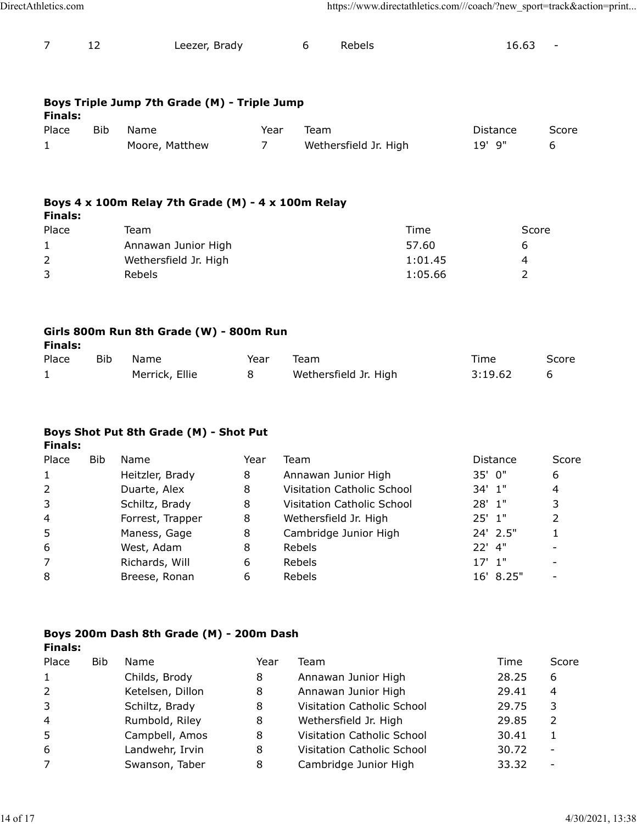| https://www.directathletics.com///coach/?new_sport=track&action=print<br>DirectAthletics.com<br>$\overline{7}$<br>12<br>Leezer, Brady<br>6<br>Rebels<br>16.63<br>$\overline{\phantom{a}}$<br>Boys Triple Jump 7th Grade (M) - Triple Jump<br><b>Finals:</b><br><b>Bib</b><br>Name<br>Team<br>Place<br>Year<br>Distance<br>19' 9"<br>$\overline{7}$<br>Wethersfield Jr. High<br>Moore, Matthew<br>6<br>1<br>Boys 4 x 100m Relay 7th Grade (M) - 4 x 100m Relay<br><b>Finals:</b><br>Place<br>Score<br>Team<br>Time |
|-------------------------------------------------------------------------------------------------------------------------------------------------------------------------------------------------------------------------------------------------------------------------------------------------------------------------------------------------------------------------------------------------------------------------------------------------------------------------------------------------------------------|
|                                                                                                                                                                                                                                                                                                                                                                                                                                                                                                                   |
| Score                                                                                                                                                                                                                                                                                                                                                                                                                                                                                                             |
|                                                                                                                                                                                                                                                                                                                                                                                                                                                                                                                   |
|                                                                                                                                                                                                                                                                                                                                                                                                                                                                                                                   |
|                                                                                                                                                                                                                                                                                                                                                                                                                                                                                                                   |
|                                                                                                                                                                                                                                                                                                                                                                                                                                                                                                                   |
|                                                                                                                                                                                                                                                                                                                                                                                                                                                                                                                   |
| Annawan Junior High<br>57.60<br>$\mathbf{1}$<br>6                                                                                                                                                                                                                                                                                                                                                                                                                                                                 |
| $\overline{2}$<br>Wethersfield Jr. High<br>1:01.45<br>4<br>$\overline{3}$<br>$\overline{2}$<br>1:05.66<br>Rebels                                                                                                                                                                                                                                                                                                                                                                                                  |
| Girls 800m Run 8th Grade (W) - 800m Run<br><b>Finals:</b><br><b>Bib</b><br>Name<br>Team<br>Score<br>Place<br>Time<br>Year<br>Wethersfield Jr. High<br>Merrick, Ellie<br>8<br>3:19.62<br>6<br>$\mathbf{1}$                                                                                                                                                                                                                                                                                                         |
| Boys Shot Put 8th Grade (M) - Shot Put                                                                                                                                                                                                                                                                                                                                                                                                                                                                            |
| <b>Finals:</b>                                                                                                                                                                                                                                                                                                                                                                                                                                                                                                    |
| <b>Bib</b><br>Team<br>Score<br>Place<br>Name<br>Year<br>Distance                                                                                                                                                                                                                                                                                                                                                                                                                                                  |
| 35' 0"<br>Heitzler, Brady<br>8<br>Annawan Junior High<br>6<br>$\mathbf{1}$                                                                                                                                                                                                                                                                                                                                                                                                                                        |
| $\overline{2}$<br>Visitation Catholic School<br>34' 1"<br>Duarte, Alex<br>8<br>$\overline{4}$<br>$\mathsf 3$<br>28' 1"<br>Visitation Catholic School                                                                                                                                                                                                                                                                                                                                                              |
| 3<br>8<br>Schiltz, Brady<br>$\overline{2}$<br>$25'$ 1"<br>4                                                                                                                                                                                                                                                                                                                                                                                                                                                       |
| Forrest, Trapper<br>8<br>Wethersfield Jr. High<br>5<br>8<br>24' 2.5"<br>Maness, Gage<br>Cambridge Junior High<br>$\mathbf{1}$                                                                                                                                                                                                                                                                                                                                                                                     |
| 6<br>22' 4"<br>West, Adam<br>8<br>Rebels<br>$\overline{\phantom{a}}$                                                                                                                                                                                                                                                                                                                                                                                                                                              |
| $\overline{7}$<br>$17'$ $1''$<br>Richards, Will<br>Rebels<br>6<br>$\overline{\phantom{a}}$                                                                                                                                                                                                                                                                                                                                                                                                                        |
| 8<br>6<br>16' 8.25"<br>Breese, Ronan<br>Rebels<br>$\overline{\phantom{a}}$                                                                                                                                                                                                                                                                                                                                                                                                                                        |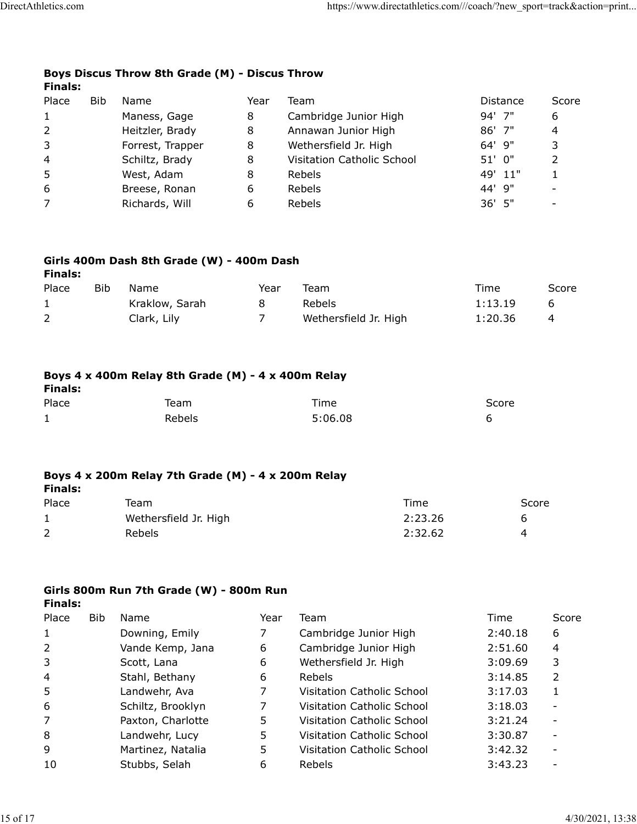#### Boys Discus Throw 8th Grade (M) - Discus Throw Finals:

| letics.com     |     |                                                    |                |                                                                       |                    |                          |
|----------------|-----|----------------------------------------------------|----------------|-----------------------------------------------------------------------|--------------------|--------------------------|
|                |     |                                                    |                | https://www.directathletics.com///coach/?new_sport=track&action=print |                    |                          |
|                |     |                                                    |                |                                                                       |                    |                          |
|                |     |                                                    |                |                                                                       |                    |                          |
|                |     |                                                    |                |                                                                       |                    |                          |
|                |     | Boys Discus Throw 8th Grade (M) - Discus Throw     |                |                                                                       |                    |                          |
| <b>Finals:</b> |     |                                                    |                |                                                                       |                    |                          |
| Place<br>1     | Bib | Name                                               | Year<br>8      | Team                                                                  | Distance<br>94' 7" | Score<br>6               |
| 2              |     | Maness, Gage<br>Heitzler, Brady                    | 8              | Cambridge Junior High<br>Annawan Junior High                          | 86' 7"             | 4                        |
| 3              |     | Forrest, Trapper                                   | 8              | Wethersfield Jr. High                                                 | 64' 9"             | 3                        |
| 4              |     | Schiltz, Brady                                     | 8              | Visitation Catholic School                                            | 51' 0"             | $\overline{2}$           |
| 5              |     | West, Adam                                         | 8              | Rebels                                                                | 49' 11"            | $\mathbf{1}$             |
| 6              |     | Breese, Ronan                                      | 6              | Rebels                                                                | 44' 9"             | $\overline{\phantom{a}}$ |
| 7              |     | Richards, Will                                     | 6              | Rebels                                                                | 36' 5"             | $\overline{\phantom{0}}$ |
|                |     |                                                    |                |                                                                       |                    |                          |
| <b>Finals:</b> |     | Girls 400m Dash 8th Grade (W) - 400m Dash          |                |                                                                       |                    |                          |
| Place          | Bib | Name                                               | Year           | Team                                                                  | Time               | Score                    |
| $\mathbf{1}$   |     | Kraklow, Sarah                                     | 8              | Rebels                                                                | 1:13.19            | 6                        |
| $\overline{2}$ |     | Clark, Lily                                        | 7 <sup>7</sup> | Wethersfield Jr. High                                                 | 1:20.36            | 4                        |
|                |     |                                                    |                |                                                                       |                    |                          |
| <b>Finals:</b> |     | Boys 4 x 400m Relay 8th Grade (M) - 4 x 400m Relay |                |                                                                       |                    |                          |
| Place          |     | Team                                               |                | Time                                                                  | Score              |                          |
|                |     | Rebels                                             |                | 5:06.08                                                               | 6                  |                          |

## Girls 400m Dash 8th Grade (W) - 400m Dash

| <b>Finals:</b> | Girls 400m Dash 8th Grade (W) - 400m Dash          |                |                       |         |         |       |
|----------------|----------------------------------------------------|----------------|-----------------------|---------|---------|-------|
| Place          | Bib<br>Name                                        | Year           | Team                  |         | Time    | Score |
| $\mathbf{1}$   | Kraklow, Sarah                                     | 8              | Rebels                |         | 1:13.19 | 6     |
| $\overline{2}$ | Clark, Lily                                        | $\overline{7}$ | Wethersfield Jr. High |         | 1:20.36 | 4     |
| <b>Finals:</b> | Boys 4 x 400m Relay 8th Grade (M) - 4 x 400m Relay |                |                       |         |         |       |
| Place          | Team                                               |                | Time                  |         | Score   |       |
| $\mathbf{1}$   | Rebels                                             |                | 5:06.08               |         | 6       |       |
| <b>Finals:</b> | Boys 4 x 200m Relay 7th Grade (M) - 4 x 200m Relay |                |                       |         |         |       |
| Place          | Team                                               |                |                       | Time    |         | Score |
| $\mathbf 1$    | Wethersfield Jr. High                              |                |                       | 2:23.26 | 6       |       |
|                | Rebels                                             |                |                       | 2:32.62 | 4       |       |

## Boys 4 x 400m Relay 8th Grade (M) - 4 x 400m Relay

| <b>Finals:</b> |  |
|----------------|--|
|----------------|--|

| Place | Team   | Time    | Score |
|-------|--------|---------|-------|
| ᆠ     | Rebels | 5:06.08 |       |

#### Boys 4 x 200m Relay 7th Grade (M) - 4 x 200m Relay Finals:

| Place | Team                  | Time    | Score |
|-------|-----------------------|---------|-------|
|       | Wethersfield Jr. High | 2:23.26 |       |
|       | Rebels                | 2:32.62 |       |

#### Girls 800m Run 7th Grade (W) - 800m Run Finals:

| <b>Finals:</b>          |                                                    |                |                            |         |                          |
|-------------------------|----------------------------------------------------|----------------|----------------------------|---------|--------------------------|
| Place                   | Team                                               |                | Time                       | Score   |                          |
| $\mathbf{1}$            | Rebels                                             |                | 5:06.08                    | 6       |                          |
| <b>Finals:</b>          | Boys 4 x 200m Relay 7th Grade (M) - 4 x 200m Relay |                |                            |         |                          |
| Place                   | Team                                               |                | Time                       | Score   |                          |
| $\mathbf{1}$            | Wethersfield Jr. High                              |                | 2:23.26                    | 6       |                          |
| $\overline{2}$          | Rebels                                             |                | 2:32.62                    | 4       |                          |
|                         | Girls 800m Run 7th Grade (W) - 800m Run            |                |                            |         |                          |
| <b>Finals:</b><br>Place | Bib<br>Name                                        | Year           | Team                       | Time    | Score                    |
| $\mathbf{1}$            | Downing, Emily                                     | 7              | Cambridge Junior High      | 2:40.18 | 6                        |
| 2                       | Vande Kemp, Jana                                   | 6              | Cambridge Junior High      | 2:51.60 | 4                        |
| 3                       | Scott, Lana                                        | 6              | Wethersfield Jr. High      | 3:09.69 | 3                        |
| 4                       | Stahl, Bethany                                     | 6              | Rebels                     | 3:14.85 | $\overline{2}$           |
| 5                       | Landwehr, Ava                                      | $\overline{7}$ | Visitation Catholic School | 3:17.03 | $\mathbf{1}$             |
| 6                       | Schiltz, Brooklyn                                  | $\overline{7}$ | Visitation Catholic School | 3:18.03 |                          |
| 7                       | Paxton, Charlotte                                  | 5              | Visitation Catholic School | 3:21.24 | $\overline{\phantom{a}}$ |
| 8                       | Landwehr, Lucy                                     | 5              | Visitation Catholic School | 3:30.87 |                          |
| 9                       | Martinez, Natalia                                  | 5              | Visitation Catholic School | 3:42.32 |                          |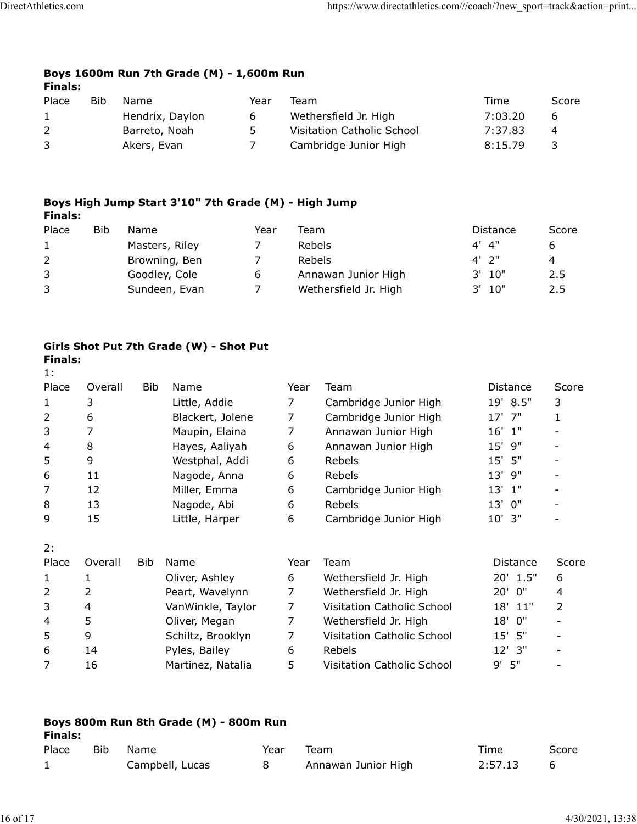#### Boys 1600m Run 7th Grade (M) - 1,600m Run Finals:

| letics.com     |     |                                                      |                | https://www.directathletics.com///coach/?new_sport=track&action=print |         |       |  |
|----------------|-----|------------------------------------------------------|----------------|-----------------------------------------------------------------------|---------|-------|--|
|                |     |                                                      |                |                                                                       |         |       |  |
|                |     |                                                      |                |                                                                       |         |       |  |
|                |     |                                                      |                |                                                                       |         |       |  |
| <b>Finals:</b> |     | Boys 1600m Run 7th Grade (M) - 1,600m Run            |                |                                                                       |         |       |  |
| Place          | Bib | Name                                                 | Year           | Team                                                                  | Time    | Score |  |
| $\mathbf{1}$   |     | Hendrix, Daylon                                      | 6              | Wethersfield Jr. High                                                 | 7:03.20 | 6     |  |
| $\overline{2}$ |     | Barreto, Noah                                        | 5              | Visitation Catholic School                                            | 7:37.83 | 4     |  |
| 3              |     | Akers, Evan                                          | $\overline{7}$ | Cambridge Junior High                                                 | 8:15.79 | 3     |  |
|                |     |                                                      |                |                                                                       |         |       |  |
|                |     |                                                      |                |                                                                       |         |       |  |
|                |     | Boys High Jump Start 3'10" 7th Grade (M) - High Jump |                |                                                                       |         |       |  |

### Boys High Jump Start 3'10" 7th Grade (M) - High Jump Finals:

| letics.com                                  |            |               |                                                                                                                           |                                                    |                          | https://www.directathletics.com///coach/?new_sport=track&action=print |                                                      |                               |
|---------------------------------------------|------------|---------------|---------------------------------------------------------------------------------------------------------------------------|----------------------------------------------------|--------------------------|-----------------------------------------------------------------------|------------------------------------------------------|-------------------------------|
|                                             |            |               | Boys 1600m Run 7th Grade (M) - 1,600m Run                                                                                 |                                                    |                          |                                                                       |                                                      |                               |
| <b>Finals:</b>                              |            |               |                                                                                                                           |                                                    |                          |                                                                       |                                                      |                               |
| Place                                       | Bib        | Name          |                                                                                                                           | Year                                               | Team                     |                                                                       | Time                                                 | Score                         |
| 1                                           |            |               | Hendrix, Daylon                                                                                                           | 6                                                  |                          | Wethersfield Jr. High                                                 | 7:03.20                                              | 6                             |
| 2                                           |            | Barreto, Noah |                                                                                                                           | 5                                                  |                          | Visitation Catholic School                                            | 7:37.83                                              | 4                             |
| 3                                           |            | Akers, Evan   |                                                                                                                           | $\overline{7}$                                     |                          | Cambridge Junior High                                                 | 8:15.79                                              | 3                             |
| <b>Finals:</b><br>Place<br>1<br>2<br>3<br>3 | <b>Bib</b> | Name          | Boys High Jump Start 3'10" 7th Grade (M) - High Jump<br>Masters, Riley<br>Browning, Ben<br>Goodley, Cole<br>Sundeen, Evan | Year<br>7<br>$\overline{7}$<br>6<br>$\overline{7}$ | Team<br>Rebels<br>Rebels | Annawan Junior High<br>Wethersfield Jr. High                          | Distance<br>$4'$ $4"$<br>$4'$ 2"<br>3' 10"<br>3' 10" | Score<br>6<br>4<br>2.5<br>2.5 |
| <b>Finals:</b><br>1:                        |            |               | Girls Shot Put 7th Grade (W) - Shot Put                                                                                   |                                                    |                          |                                                                       |                                                      |                               |
| Place                                       | Overall    | Bib           | Name                                                                                                                      |                                                    | Year                     | Team                                                                  | Distance                                             | Score                         |
| 1                                           | 3          |               | Little, Addie                                                                                                             |                                                    | $\overline{7}$           | Cambridge Junior High                                                 | 19' 8.5"                                             | 3                             |
| $\overline{2}$                              | 6          |               | Blackert, Jolene                                                                                                          |                                                    | $\overline{7}$           | Cambridge Junior High                                                 | 17' 7"                                               | $\mathbf{1}$                  |
| $\overline{3}$                              | 7          |               | Maupin, Elaina                                                                                                            |                                                    | 7                        | Annawan Junior High                                                   | $16'$ $1''$<br>$15'$ 9"                              |                               |
| 4                                           | 8          |               | Haves, Aalivah                                                                                                            |                                                    | 6.                       | Annawan Junior High                                                   |                                                      |                               |

## Girls Shot Put 7th Grade (W) - Shot Put Finals:

| $\overline{2}$ |                | Barreto, Noah |                                                      | 5    |                | Visitation Catholic School | 7:37.83     | 4                        |
|----------------|----------------|---------------|------------------------------------------------------|------|----------------|----------------------------|-------------|--------------------------|
| 3              |                | Akers, Evan   |                                                      | 7    |                | Cambridge Junior High      | 8:15.79     | 3                        |
|                |                |               | Boys High Jump Start 3'10" 7th Grade (M) - High Jump |      |                |                            |             |                          |
| <b>Finals:</b> |                |               |                                                      |      |                |                            |             |                          |
| Place          | Bib            | Name          |                                                      | Year | Team           |                            | Distance    | Score                    |
| 1              |                |               | Masters, Riley                                       | 7    | Rebels         |                            | 4"<br>4'    | 6                        |
| 2              |                |               | Browning, Ben                                        | 7    | Rebels         |                            | 2"          | 4                        |
| 3              |                |               | Goodley, Cole                                        | 6    |                | Annawan Junior High        | 3'<br>10"   | 2.5                      |
| 3              |                |               | Sundeen, Evan                                        | 7    |                | Wethersfield Jr. High      | 10"<br>3'   | 2.5                      |
|                |                |               | Girls Shot Put 7th Grade (W) - Shot Put              |      |                |                            |             |                          |
| <b>Finals:</b> |                |               |                                                      |      |                |                            |             |                          |
| 1:             |                |               |                                                      |      |                |                            |             |                          |
| Place          | Overall        | <b>Bib</b>    | Name                                                 |      | Year           | Team                       | Distance    | Score                    |
| $\mathbf{1}$   | 3              |               | Little, Addie                                        |      | 7              | Cambridge Junior High      | 19' 8.5"    | 3                        |
| 2              | 6              |               | Blackert, Jolene                                     |      | $\overline{7}$ | Cambridge Junior High      | 17' 7"      | 1                        |
| 3              | $\overline{7}$ |               | Maupin, Elaina                                       |      | 7              | Annawan Junior High        | $16'$ $1''$ |                          |
| 4              | 8              |               | Hayes, Aaliyah                                       |      | 6              | Annawan Junior High        | 15' 9"      |                          |
| 5              | 9              |               | Westphal, Addi                                       |      | 6              | Rebels                     | 15' 5"      |                          |
| 6              | 11             |               | Nagode, Anna                                         |      | 6              | Rebels                     | 9"<br>13'   |                          |
| 7              | 12             |               | Miller, Emma                                         |      | 6              | Cambridge Junior High      | $13'$ $1''$ |                          |
| 8              | 13             |               | Nagode, Abi                                          |      | 6              | Rebels                     | 13' 0"      |                          |
| 9              | 15             |               | Little, Harper                                       |      | 6              | Cambridge Junior High      | $10'$ 3"    |                          |
| 2:             |                |               |                                                      |      |                |                            |             |                          |
| Place          | Overall        | Bib           | Name                                                 |      | Year           | Team                       | Distance    | Score                    |
| 1              |                |               | Oliver, Ashley                                       |      | 6              | Wethersfield Jr. High      | 20' 1.5"    | 6                        |
| 2              | $\overline{2}$ |               | Peart, Wavelynn                                      |      | $\overline{7}$ | Wethersfield Jr. High      | 20' 0"      | 4                        |
| 3              | $\overline{4}$ |               | VanWinkle, Taylor                                    |      | 7              | Visitation Catholic School | 18' 11"     | 2                        |
| 4              | 5              |               | Oliver, Megan                                        |      | 7              | Wethersfield Jr. High      | 18' 0"      | $\overline{\phantom{a}}$ |
| 5              | 9              |               | Schiltz, Brooklyn                                    |      | $\overline{7}$ | Visitation Catholic School | 15' 5"      | $\blacksquare$           |
| 6              | 14             |               | Pyles, Bailey                                        |      | 6              | Rebels                     | 12' 3"      | $\overline{\phantom{a}}$ |
|                | 16             |               | Martinez, Natalia                                    |      | 5              | Visitation Catholic School | 9'5"        |                          |

| 6              | 11             |      | Nagode, Anna                           | 6              | Rebels                     | 13' 9"     | $\overline{\phantom{a}}$ |  |
|----------------|----------------|------|----------------------------------------|----------------|----------------------------|------------|--------------------------|--|
| $\overline{7}$ | 12             |      | Miller, Emma                           | 6              | Cambridge Junior High      | $13'$ $1"$ | $\qquad \qquad -$        |  |
| 8              | 13             |      | Nagode, Abi                            | 6              | Rebels                     | 13' 0"     | $\overline{\phantom{a}}$ |  |
| 9              | 15             |      | Little, Harper                         | 6              | Cambridge Junior High      | 10' 3"     | $\overline{\phantom{0}}$ |  |
| 2:             |                |      |                                        |                |                            |            |                          |  |
| Place          | Overall        | Bib  | Name                                   | Year           | Team                       | Distance   | Score                    |  |
| $\mathbf{1}$   |                |      | Oliver, Ashley                         | 6              | Wethersfield Jr. High      | 20' 1.5"   | 6                        |  |
| $\overline{2}$ | 2              |      | Peart, Wavelynn                        | 7              | Wethersfield Jr. High      | 20'<br>0"  | 4                        |  |
| 3              | $\overline{4}$ |      | VanWinkle, Taylor                      | $\overline{7}$ | Visitation Catholic School | 18' 11"    | $\overline{2}$           |  |
| $\overline{4}$ | 5              |      | Oliver, Megan                          | 7              | Wethersfield Jr. High      | 18'<br>0"  | $\overline{\phantom{0}}$ |  |
| 5              | 9              |      | Schiltz, Brooklyn                      | $\overline{7}$ | Visitation Catholic School | 15'<br>5"  | $\overline{\phantom{a}}$ |  |
| 6              | 14             |      | Pyles, Bailey                          | 6              | Rebels                     | 12' 3"     | $\overline{\phantom{0}}$ |  |
| $\overline{7}$ | 16             |      | Martinez, Natalia                      | 5              | Visitation Catholic School | $9'$ 5"    | $\overline{\phantom{a}}$ |  |
|                |                |      |                                        |                |                            |            |                          |  |
|                |                |      |                                        |                |                            |            |                          |  |
| <b>Finals:</b> |                |      | Boys 800m Run 8th Grade (M) - 800m Run |                |                            |            |                          |  |
| Place          | Bib            | Name |                                        | Year           | Team                       | Time       | Score                    |  |
| $\mathbf{1}$   |                |      | Campbell, Lucas                        | 8              | Annawan Junior High        | 2:57.13    | 6                        |  |
|                |                |      |                                        |                |                            |            |                          |  |
|                |                |      |                                        |                |                            |            |                          |  |
|                |                |      |                                        |                |                            |            |                          |  |
|                |                |      |                                        |                |                            |            | 4/30/2021, 13:38         |  |

| Finals: |      | Boys 800m Run 8th Grade (M) - 800m Run |      |                     |         |       |
|---------|------|----------------------------------------|------|---------------------|---------|-------|
| Place   | Bib. | Name.                                  | Year | Team                | Time    | Score |
|         |      | Campbell, Lucas                        |      | Annawan Junior High | 2:57.13 |       |